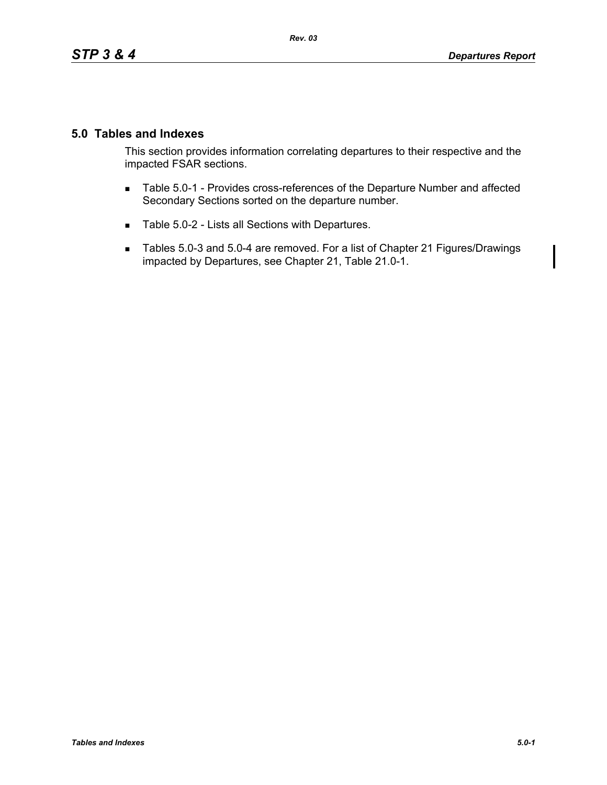## **5.0 Tables and Indexes**

This section provides information correlating departures to their respective and the impacted FSAR sections.

- Table 5.0-1 Provides cross-references of the Departure Number and affected Secondary Sections sorted on the departure number.
- Table 5.0-2 Lists all Sections with Departures.
- Tables 5.0-3 and 5.0-4 are removed. For a list of Chapter 21 Figures/Drawings impacted by Departures, see Chapter 21, Table 21.0-1.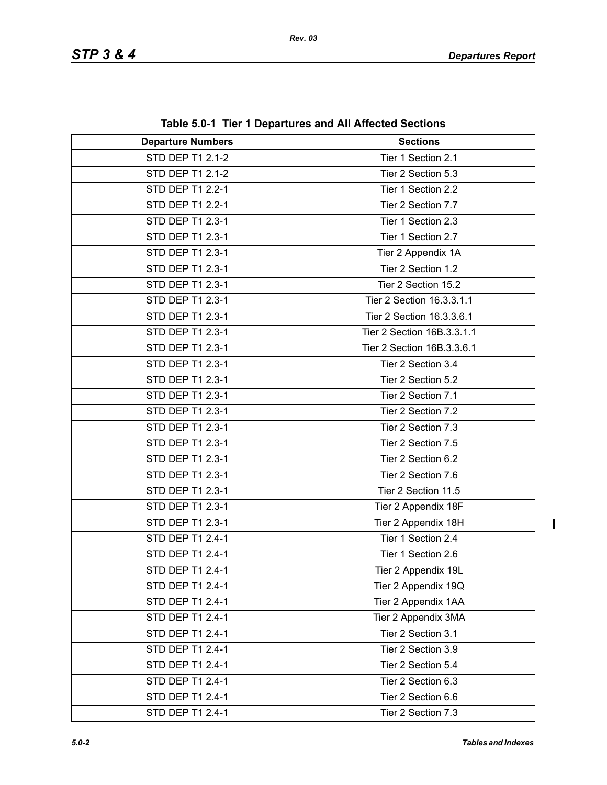| <b>Departure Numbers</b> | <b>Sections</b>            |  |
|--------------------------|----------------------------|--|
| <b>STD DEP T1 2.1-2</b>  | Tier 1 Section 2.1         |  |
| STD DEP T1 2.1-2         | Tier 2 Section 5.3         |  |
| STD DEP T1 2.2-1         | Tier 1 Section 2.2         |  |
| STD DEP T1 2.2-1         | Tier 2 Section 7.7         |  |
| STD DEP T1 2.3-1         | Tier 1 Section 2.3         |  |
| STD DEP T1 2.3-1         | Tier 1 Section 2.7         |  |
| STD DEP T1 2.3-1         | Tier 2 Appendix 1A         |  |
| STD DEP T1 2.3-1         | Tier 2 Section 1.2         |  |
| STD DEP T1 2.3-1         | Tier 2 Section 15.2        |  |
| STD DEP T1 2.3-1         | Tier 2 Section 16.3.3.1.1  |  |
| STD DEP T1 2.3-1         | Tier 2 Section 16.3.3.6.1  |  |
| STD DEP T1 2.3-1         | Tier 2 Section 16B.3.3.1.1 |  |
| STD DEP T1 2.3-1         | Tier 2 Section 16B.3.3.6.1 |  |
| STD DEP T1 2.3-1         | Tier 2 Section 3.4         |  |
| STD DEP T1 2.3-1         | Tier 2 Section 5.2         |  |
| STD DEP T1 2.3-1         | Tier 2 Section 7.1         |  |
| STD DEP T1 2.3-1         | Tier 2 Section 7.2         |  |
| STD DEP T1 2.3-1         | Tier 2 Section 7.3         |  |
| STD DEP T1 2.3-1         | Tier 2 Section 7.5         |  |
| STD DEP T1 2.3-1         | Tier 2 Section 6.2         |  |
| STD DEP T1 2.3-1         | Tier 2 Section 7.6         |  |
| STD DEP T1 2.3-1         | Tier 2 Section 11.5        |  |
| STD DEP T1 2.3-1         | Tier 2 Appendix 18F        |  |
| STD DEP T1 2.3-1         | Tier 2 Appendix 18H        |  |
| STD DEP T1 2.4-1         | Tier 1 Section 2.4         |  |
| STD DEP T1 2.4-1         | Tier 1 Section 2.6         |  |
| STD DEP T1 2.4-1         | Tier 2 Appendix 19L        |  |
| STD DEP T1 2.4-1         | Tier 2 Appendix 19Q        |  |
| STD DEP T1 2.4-1         | Tier 2 Appendix 1AA        |  |
| STD DEP T1 2.4-1         | Tier 2 Appendix 3MA        |  |
| STD DEP T1 2.4-1         | Tier 2 Section 3.1         |  |
| STD DEP T1 2.4-1         | Tier 2 Section 3.9         |  |
| STD DEP T1 2.4-1         | Tier 2 Section 5.4         |  |
| STD DEP T1 2.4-1         | Tier 2 Section 6.3         |  |
| STD DEP T1 2.4-1         | Tier 2 Section 6.6         |  |
| STD DEP T1 2.4-1         | Tier 2 Section 7.3         |  |

**Table 5.0-1 Tier 1 Departures and All Affected Sections**

 $\overline{\mathbf{I}}$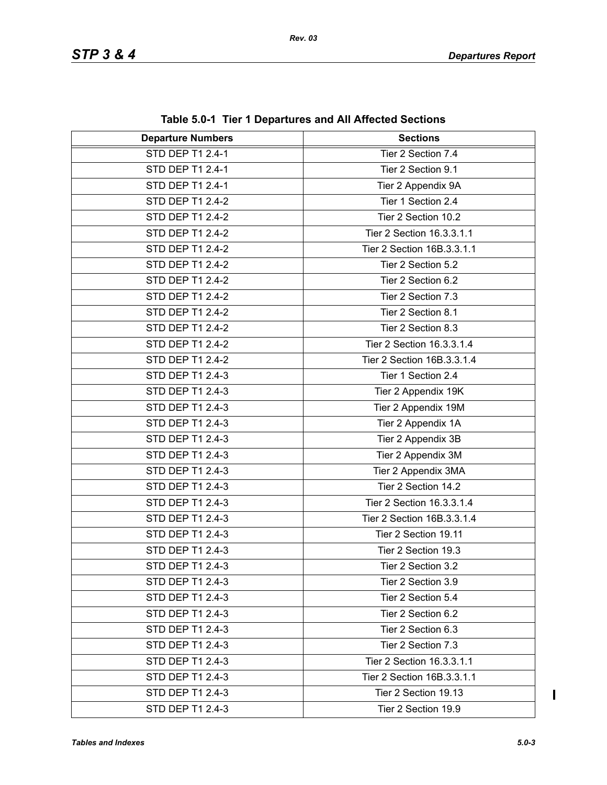| <b>Departure Numbers</b> | $\frac{1}{2}$ and $\frac{1}{2}$ . The TDepartures and All Anected Sections<br><b>Sections</b> |  |
|--------------------------|-----------------------------------------------------------------------------------------------|--|
| <b>STD DEP T1 2.4-1</b>  | Tier 2 Section 7.4                                                                            |  |
| STD DEP T1 2.4-1         | Tier 2 Section 9.1                                                                            |  |
| STD DEP T1 2.4-1         | Tier 2 Appendix 9A                                                                            |  |
| STD DEP T1 2.4-2         | Tier 1 Section 2.4                                                                            |  |
| STD DEP T1 2.4-2         | Tier 2 Section 10.2                                                                           |  |
| STD DEP T1 2.4-2         | Tier 2 Section 16.3.3.1.1                                                                     |  |
| <b>STD DEP T1 2.4-2</b>  | Tier 2 Section 16B.3.3.1.1                                                                    |  |
| STD DEP T1 2.4-2         | Tier 2 Section 5.2                                                                            |  |
| STD DEP T1 2.4-2         | Tier 2 Section 6.2                                                                            |  |
| STD DEP T1 2.4-2         | Tier 2 Section 7.3                                                                            |  |
| STD DEP T1 2.4-2         |                                                                                               |  |
| STD DEP T1 2.4-2         | Tier 2 Section 8.1                                                                            |  |
|                          | Tier 2 Section 8.3                                                                            |  |
| STD DEP T1 2.4-2         | Tier 2 Section 16.3.3.1.4                                                                     |  |
| STD DEP T1 2.4-2         | Tier 2 Section 16B.3.3.1.4                                                                    |  |
| STD DEP T1 2.4-3         | Tier 1 Section 2.4                                                                            |  |
| STD DEP T1 2.4-3         | Tier 2 Appendix 19K                                                                           |  |
| STD DEP T1 2.4-3         | Tier 2 Appendix 19M                                                                           |  |
| STD DEP T1 2.4-3         | Tier 2 Appendix 1A                                                                            |  |
| STD DEP T1 2.4-3         | Tier 2 Appendix 3B                                                                            |  |
| STD DEP T1 2.4-3         | Tier 2 Appendix 3M                                                                            |  |
| STD DEP T1 2.4-3         | Tier 2 Appendix 3MA                                                                           |  |
| STD DEP T1 2.4-3         | Tier 2 Section 14.2                                                                           |  |
| STD DEP T1 2.4-3         | Tier 2 Section 16.3.3.1.4                                                                     |  |
| STD DEP T1 2.4-3         | Tier 2 Section 16B.3.3.1.4                                                                    |  |
| STD DEP T1 2.4-3         | Tier 2 Section 19.11                                                                          |  |
| STD DEP T1 2.4-3         | Tier 2 Section 19.3                                                                           |  |
| STD DEP T1 2.4-3         | Tier 2 Section 3.2                                                                            |  |
| STD DEP T1 2.4-3         | Tier 2 Section 3.9                                                                            |  |
| STD DEP T1 2.4-3         | Tier 2 Section 5.4                                                                            |  |
| STD DEP T1 2.4-3         | Tier 2 Section 6.2                                                                            |  |
| STD DEP T1 2.4-3         | Tier 2 Section 6.3                                                                            |  |
| STD DEP T1 2.4-3         | Tier 2 Section 7.3                                                                            |  |
| STD DEP T1 2.4-3         | Tier 2 Section 16.3.3.1.1                                                                     |  |
| STD DEP T1 2.4-3         | Tier 2 Section 16B.3.3.1.1                                                                    |  |
| STD DEP T1 2.4-3         | Tier 2 Section 19.13                                                                          |  |
| STD DEP T1 2.4-3         | Tier 2 Section 19.9                                                                           |  |

**Table 5.0-1 Tier 1 Departures and All Affected Sections**

 $\mathbf I$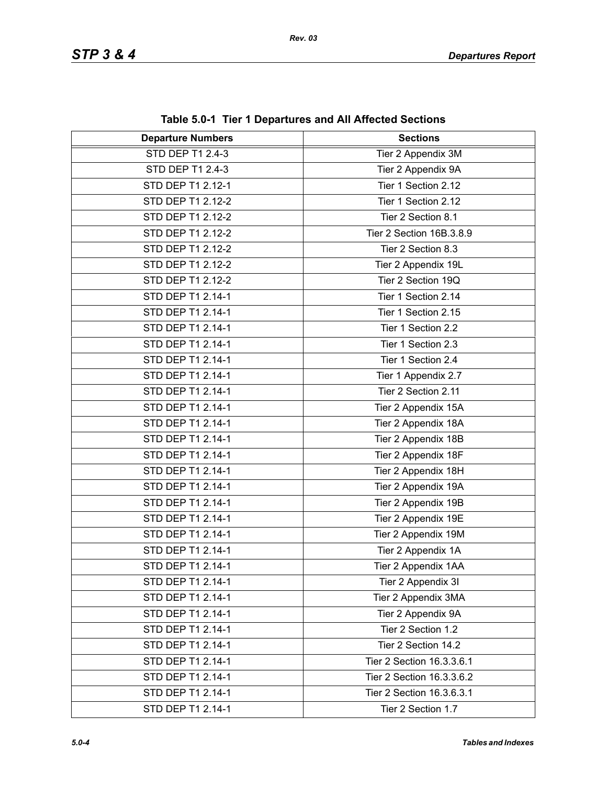| <b>Departure Numbers</b> | $1800$ vive the theory wild constructed becausing<br><b>Sections</b> |
|--------------------------|----------------------------------------------------------------------|
| STD DEP T1 2.4-3         | Tier 2 Appendix 3M                                                   |
| STD DEP T1 2.4-3         | Tier 2 Appendix 9A                                                   |
| STD DEP T1 2.12-1        | Tier 1 Section 2.12                                                  |
| STD DEP T1 2.12-2        | Tier 1 Section 2.12                                                  |
| STD DEP T1 2.12-2        | Tier 2 Section 8.1                                                   |
| STD DEP T1 2.12-2        | Tier 2 Section 16B.3.8.9                                             |
| STD DEP T1 2.12-2        | Tier 2 Section 8.3                                                   |
| STD DEP T1 2.12-2        | Tier 2 Appendix 19L                                                  |
| STD DEP T1 2.12-2        | Tier 2 Section 19Q                                                   |
| STD DEP T1 2.14-1        | Tier 1 Section 2.14                                                  |
| STD DEP T1 2.14-1        | Tier 1 Section 2.15                                                  |
| STD DEP T1 2.14-1        | Tier 1 Section 2.2                                                   |
| STD DEP T1 2.14-1        | Tier 1 Section 2.3                                                   |
| STD DEP T1 2.14-1        | Tier 1 Section 2.4                                                   |
| STD DEP T1 2.14-1        | Tier 1 Appendix 2.7                                                  |
| STD DEP T1 2.14-1        | Tier 2 Section 2.11                                                  |
| STD DEP T1 2.14-1        | Tier 2 Appendix 15A                                                  |
| STD DEP T1 2.14-1        | Tier 2 Appendix 18A                                                  |
| STD DEP T1 2.14-1        | Tier 2 Appendix 18B                                                  |
| STD DEP T1 2.14-1        | Tier 2 Appendix 18F                                                  |
| STD DEP T1 2.14-1        | Tier 2 Appendix 18H                                                  |
| STD DEP T1 2.14-1        | Tier 2 Appendix 19A                                                  |
| STD DEP T1 2.14-1        | Tier 2 Appendix 19B                                                  |
| STD DEP T1 2.14-1        | Tier 2 Appendix 19E                                                  |
| STD DEP T1 2.14-1        | Tier 2 Appendix 19M                                                  |
| STD DEP T1 2.14-1        | Tier 2 Appendix 1A                                                   |
| STD DEP T1 2.14-1        | Tier 2 Appendix 1AA                                                  |
| STD DEP T1 2.14-1        | Tier 2 Appendix 3I                                                   |
| STD DEP T1 2.14-1        | Tier 2 Appendix 3MA                                                  |
| STD DEP T1 2.14-1        | Tier 2 Appendix 9A                                                   |
| STD DEP T1 2.14-1        | Tier 2 Section 1.2                                                   |
| STD DEP T1 2.14-1        | Tier 2 Section 14.2                                                  |
| STD DEP T1 2.14-1        | Tier 2 Section 16.3.3.6.1                                            |
| STD DEP T1 2.14-1        | Tier 2 Section 16.3.3.6.2                                            |
| STD DEP T1 2.14-1        | Tier 2 Section 16.3.6.3.1                                            |
| STD DEP T1 2.14-1        | Tier 2 Section 1.7                                                   |

**Table 5.0-1 Tier 1 Departures and All Affected Sections**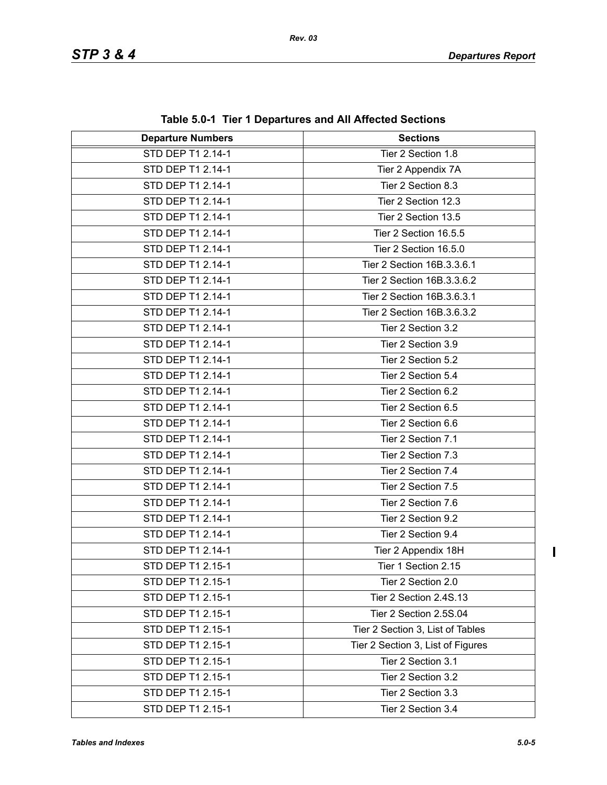| Table 5.0-1 Tier T Departures and All Affected Sections |                                   |  |
|---------------------------------------------------------|-----------------------------------|--|
| <b>Departure Numbers</b>                                | <b>Sections</b>                   |  |
| STD DEP T1 2.14-1                                       | Tier 2 Section 1.8                |  |
| STD DEP T1 2.14-1                                       | Tier 2 Appendix 7A                |  |
| STD DEP T1 2.14-1                                       | Tier 2 Section 8.3                |  |
| STD DEP T1 2.14-1                                       | Tier 2 Section 12.3               |  |
| STD DEP T1 2.14-1                                       | Tier 2 Section 13.5               |  |
| STD DEP T1 2.14-1                                       | Tier 2 Section 16.5.5             |  |
| STD DEP T1 2.14-1                                       | Tier 2 Section 16.5.0             |  |
| STD DEP T1 2.14-1                                       | Tier 2 Section 16B.3.3.6.1        |  |
| STD DEP T1 2.14-1                                       | Tier 2 Section 16B.3.3.6.2        |  |
| STD DEP T1 2.14-1                                       | Tier 2 Section 16B.3.6.3.1        |  |
| STD DEP T1 2.14-1                                       | Tier 2 Section 16B.3.6.3.2        |  |
| STD DEP T1 2.14-1                                       | Tier 2 Section 3.2                |  |
| STD DEP T1 2.14-1                                       | Tier 2 Section 3.9                |  |
| STD DEP T1 2.14-1                                       | Tier 2 Section 5.2                |  |
| STD DEP T1 2.14-1                                       | Tier 2 Section 5.4                |  |
| STD DEP T1 2.14-1                                       | Tier 2 Section 6.2                |  |
| STD DEP T1 2.14-1                                       | Tier 2 Section 6.5                |  |
| STD DEP T1 2.14-1                                       | Tier 2 Section 6.6                |  |
| STD DEP T1 2.14-1                                       | Tier 2 Section 7.1                |  |
| STD DEP T1 2.14-1                                       | Tier 2 Section 7.3                |  |
| STD DEP T1 2.14-1                                       | Tier 2 Section 7.4                |  |
| STD DEP T1 2.14-1                                       | Tier 2 Section 7.5                |  |
| STD DEP T1 2.14-1                                       | Tier 2 Section 7.6                |  |
| STD DEP T1 2.14-1                                       | Tier 2 Section 9.2                |  |
| STD DEP T1 2.14-1                                       | Tier 2 Section 9.4                |  |
| STD DEP T1 2.14-1                                       | Tier 2 Appendix 18H               |  |
| STD DEP T1 2.15-1                                       | Tier 1 Section 2.15               |  |
| STD DEP T1 2.15-1                                       | Tier 2 Section 2.0                |  |
| STD DEP T1 2.15-1                                       | Tier 2 Section 2.4S.13            |  |
| STD DEP T1 2.15-1                                       | Tier 2 Section 2.5S.04            |  |
| STD DEP T1 2.15-1                                       | Tier 2 Section 3, List of Tables  |  |
| STD DEP T1 2.15-1                                       | Tier 2 Section 3, List of Figures |  |
| STD DEP T1 2.15-1                                       | Tier 2 Section 3.1                |  |
| STD DEP T1 2.15-1                                       | Tier 2 Section 3.2                |  |
| STD DEP T1 2.15-1                                       | Tier 2 Section 3.3                |  |
| STD DEP T1 2.15-1                                       | Tier 2 Section 3.4                |  |

**Table 5.0-1 Tier 1 Departures and All Affected Sections**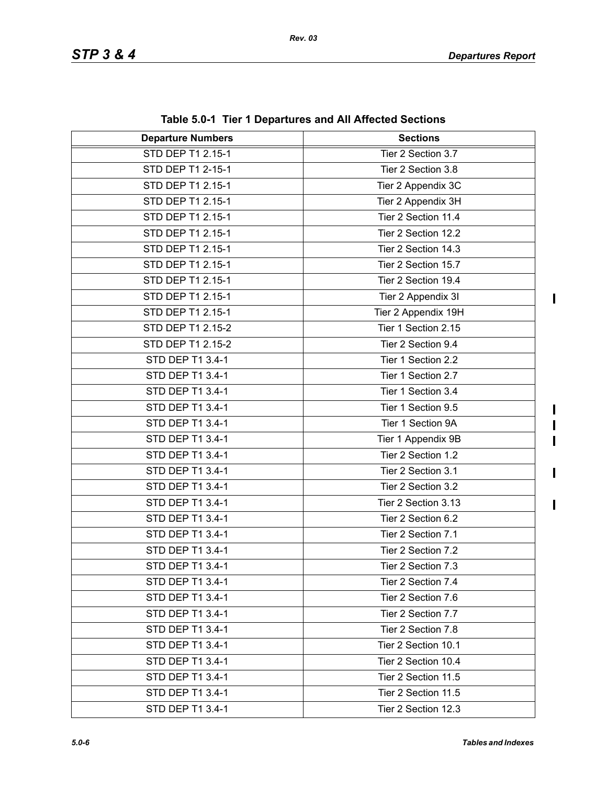$\mathbf I$ 

 $\mathbf I$  $\mathbf I$  $\blacksquare$ 

 $\mathbf{I}$ 

| <b>Departure Numbers</b> | <b>Sections</b>     |
|--------------------------|---------------------|
| STD DEP T1 2.15-1        | Tier 2 Section 3.7  |
| STD DEP T1 2-15-1        | Tier 2 Section 3.8  |
| STD DEP T1 2.15-1        | Tier 2 Appendix 3C  |
| STD DEP T1 2.15-1        | Tier 2 Appendix 3H  |
| STD DEP T1 2.15-1        | Tier 2 Section 11.4 |
| STD DEP T1 2.15-1        | Tier 2 Section 12.2 |
| STD DEP T1 2.15-1        | Tier 2 Section 14.3 |
| STD DEP T1 2.15-1        | Tier 2 Section 15.7 |
| STD DEP T1 2.15-1        | Tier 2 Section 19.4 |
| STD DEP T1 2.15-1        | Tier 2 Appendix 3I  |
| STD DEP T1 2.15-1        | Tier 2 Appendix 19H |
| STD DEP T1 2.15-2        | Tier 1 Section 2.15 |
| STD DEP T1 2.15-2        | Tier 2 Section 9.4  |
| STD DEP T1 3.4-1         | Tier 1 Section 2.2  |
| STD DEP T1 3.4-1         | Tier 1 Section 2.7  |
| STD DEP T1 3.4-1         | Tier 1 Section 3.4  |
| STD DEP T1 3.4-1         | Tier 1 Section 9.5  |
| STD DEP T1 3.4-1         | Tier 1 Section 9A   |
| STD DEP T1 3.4-1         | Tier 1 Appendix 9B  |
| STD DEP T1 3.4-1         | Tier 2 Section 1.2  |
| STD DEP T1 3.4-1         | Tier 2 Section 3.1  |
| STD DEP T1 3.4-1         | Tier 2 Section 3.2  |
| STD DEP T1 3.4-1         | Tier 2 Section 3.13 |
| STD DEP T1 3.4-1         | Tier 2 Section 6.2  |
| STD DEP T1 3.4-1         | Tier 2 Section 7.1  |
| STD DEP T1 3.4-1         | Tier 2 Section 7.2  |
| STD DEP T1 3.4-1         | Tier 2 Section 7.3  |
| STD DEP T1 3.4-1         | Tier 2 Section 7.4  |
| STD DEP T1 3.4-1         | Tier 2 Section 7.6  |
| STD DEP T1 3.4-1         | Tier 2 Section 7.7  |
| STD DEP T1 3.4-1         | Tier 2 Section 7.8  |
| STD DEP T1 3.4-1         | Tier 2 Section 10.1 |
| STD DEP T1 3.4-1         | Tier 2 Section 10.4 |
| STD DEP T1 3.4-1         | Tier 2 Section 11.5 |
| STD DEP T1 3.4-1         | Tier 2 Section 11.5 |
| STD DEP T1 3.4-1         | Tier 2 Section 12.3 |

**Table 5.0-1 Tier 1 Departures and All Affected Sections**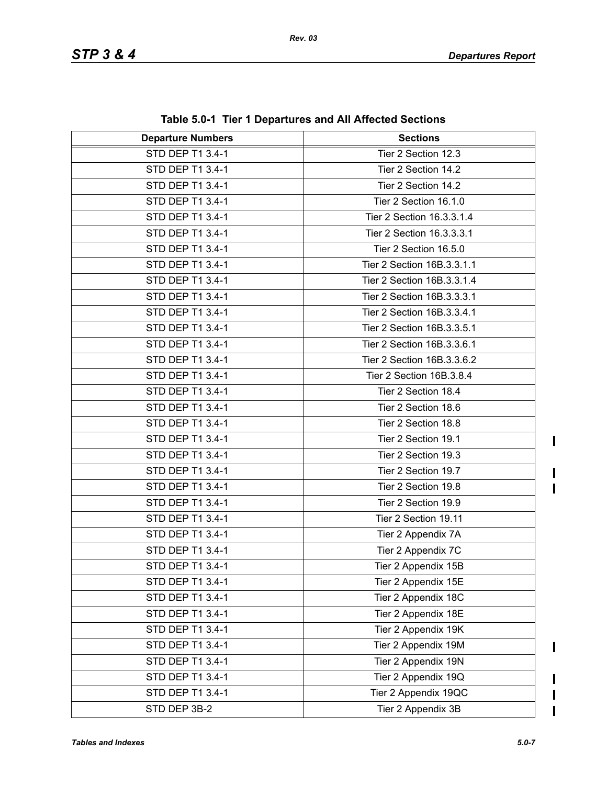| <b>Departure Numbers</b> | <b>Sections</b>            |  |
|--------------------------|----------------------------|--|
| <b>STD DEP T1 3.4-1</b>  | Tier 2 Section 12.3        |  |
| STD DEP T1 3.4-1         | Tier 2 Section 14.2        |  |
| STD DEP T1 3.4-1         | Tier 2 Section 14.2        |  |
| STD DEP T1 3.4-1         | Tier 2 Section 16.1.0      |  |
| STD DEP T1 3.4-1         | Tier 2 Section 16.3.3.1.4  |  |
| STD DEP T1 3.4-1         | Tier 2 Section 16.3.3.3.1  |  |
| STD DEP T1 3.4-1         | Tier 2 Section 16.5.0      |  |
| STD DEP T1 3.4-1         | Tier 2 Section 16B.3.3.1.1 |  |
| STD DEP T1 3.4-1         | Tier 2 Section 16B.3.3.1.4 |  |
| STD DEP T1 3.4-1         | Tier 2 Section 16B.3.3.3.1 |  |
| STD DEP T1 3.4-1         | Tier 2 Section 16B.3.3.4.1 |  |
| STD DEP T1 3.4-1         | Tier 2 Section 16B.3.3.5.1 |  |
| STD DEP T1 3.4-1         | Tier 2 Section 16B.3.3.6.1 |  |
| STD DEP T1 3.4-1         | Tier 2 Section 16B.3.3.6.2 |  |
| STD DEP T1 3.4-1         | Tier 2 Section 16B.3.8.4   |  |
| STD DEP T1 3.4-1         | Tier 2 Section 18.4        |  |
| STD DEP T1 3.4-1         | Tier 2 Section 18.6        |  |
| STD DEP T1 3.4-1         | Tier 2 Section 18.8        |  |
| STD DEP T1 3.4-1         | Tier 2 Section 19.1        |  |
| STD DEP T1 3.4-1         | Tier 2 Section 19.3        |  |
| STD DEP T1 3.4-1         | Tier 2 Section 19.7        |  |
| STD DEP T1 3.4-1         | Tier 2 Section 19.8        |  |
| STD DEP T1 3.4-1         | Tier 2 Section 19.9        |  |
| STD DEP T1 3.4-1         | Tier 2 Section 19.11       |  |
| STD DEP T1 3.4-1         | Tier 2 Appendix 7A         |  |
| STD DEP T1 3.4-1         | Tier 2 Appendix 7C         |  |
| STD DEP T1 3.4-1         | Tier 2 Appendix 15B        |  |
| STD DEP T1 3.4-1         | Tier 2 Appendix 15E        |  |
| STD DEP T1 3.4-1         | Tier 2 Appendix 18C        |  |
| STD DEP T1 3.4-1         | Tier 2 Appendix 18E        |  |
| STD DEP T1 3.4-1         | Tier 2 Appendix 19K        |  |
| STD DEP T1 3.4-1         | Tier 2 Appendix 19M        |  |
| STD DEP T1 3.4-1         | Tier 2 Appendix 19N        |  |
| STD DEP T1 3.4-1         | Tier 2 Appendix 19Q        |  |
| STD DEP T1 3.4-1         | Tier 2 Appendix 19QC       |  |
| STD DEP 3B-2             | Tier 2 Appendix 3B         |  |

**Table 5.0-1 Tier 1 Departures and All Affected Sections**

 $\mathbf{l}$  $\blacksquare$ 

 $\begin{array}{c} \rule{0pt}{2.5ex} \rule{0pt}{2.5ex} \rule{0pt}{2.5ex} \rule{0pt}{2.5ex} \rule{0pt}{2.5ex} \rule{0pt}{2.5ex} \rule{0pt}{2.5ex} \rule{0pt}{2.5ex} \rule{0pt}{2.5ex} \rule{0pt}{2.5ex} \rule{0pt}{2.5ex} \rule{0pt}{2.5ex} \rule{0pt}{2.5ex} \rule{0pt}{2.5ex} \rule{0pt}{2.5ex} \rule{0pt}{2.5ex} \rule{0pt}{2.5ex} \rule{0pt}{2.5ex} \rule{0pt}{2.5ex} \rule{0$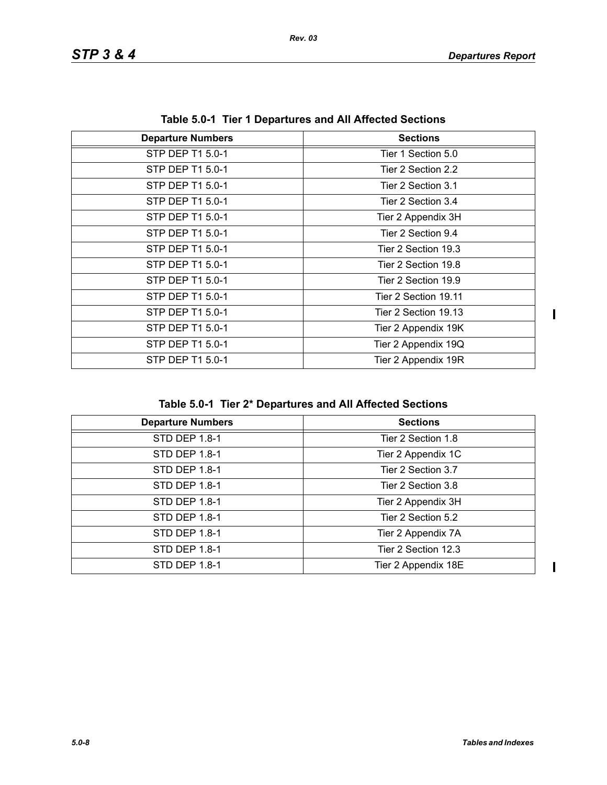$\begin{array}{c} \hline \end{array}$ 

| $1800$ vive the three properties and All Ancelea occupito |                      |  |
|-----------------------------------------------------------|----------------------|--|
| <b>Departure Numbers</b>                                  | <b>Sections</b>      |  |
| STP DEP T1 5.0-1                                          | Tier 1 Section 5.0   |  |
| STP DEP T1 5.0-1                                          | Tier 2 Section 2.2   |  |
| STP DEP T1 5.0-1                                          | Tier 2 Section 3.1   |  |
| STP DEP T1 5.0-1                                          | Tier 2 Section 3.4   |  |
| STP DEP T1 5.0-1                                          | Tier 2 Appendix 3H   |  |
| STP DEP T1 5.0-1                                          | Tier 2 Section 9.4   |  |
| STP DEP T1 5.0-1                                          | Tier 2 Section 19.3  |  |
| STP DEP T1 5.0-1                                          | Tier 2 Section 19.8  |  |
| STP DEP T1 5.0-1                                          | Tier 2 Section 19.9  |  |
| STP DEP T1 5.0-1                                          | Tier 2 Section 19.11 |  |
| STP DEP T1 5.0-1                                          | Tier 2 Section 19.13 |  |
| STP DEP T1 5.0-1                                          | Tier 2 Appendix 19K  |  |
| STP DEP T1 5.0-1                                          | Tier 2 Appendix 19Q  |  |
| STP DEP T1 5.0-1                                          | Tier 2 Appendix 19R  |  |

**Table 5.0-1 Tier 1 Departures and All Affected Sections**

|  |  |  | Table 5.0-1 Tier 2* Departures and All Affected Sections |
|--|--|--|----------------------------------------------------------|
|--|--|--|----------------------------------------------------------|

| <b>Departure Numbers</b> | <b>Sections</b>     |
|--------------------------|---------------------|
| <b>STD DEP 1.8-1</b>     | Tier 2 Section 1.8  |
| <b>STD DEP 1.8-1</b>     | Tier 2 Appendix 1C  |
| STD DEP 1.8-1            | Tier 2 Section 3.7  |
| STD DEP 1.8-1            | Tier 2 Section 3.8  |
| <b>STD DEP 1.8-1</b>     | Tier 2 Appendix 3H  |
| STD DEP 1.8-1            | Tier 2 Section 5.2  |
| STD DEP 1.8-1            | Tier 2 Appendix 7A  |
| <b>STD DEP 1.8-1</b>     | Tier 2 Section 12.3 |
| <b>STD DEP 1.8-1</b>     | Tier 2 Appendix 18E |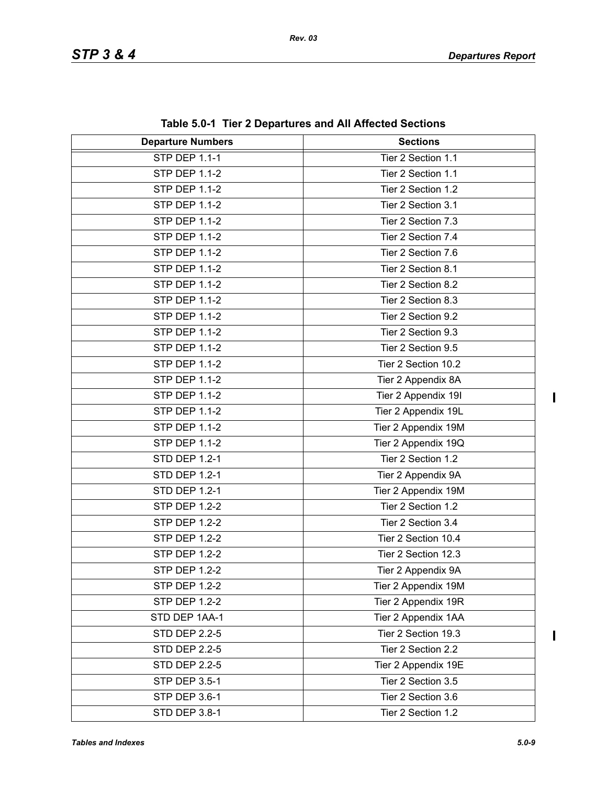| <b>Departure Numbers</b> | <b>Sections</b>     |
|--------------------------|---------------------|
| <b>STP DEP 1.1-1</b>     | Tier 2 Section 1.1  |
| <b>STP DEP 1.1-2</b>     | Tier 2 Section 1.1  |
| <b>STP DEP 1.1-2</b>     | Tier 2 Section 1.2  |
| <b>STP DEP 1.1-2</b>     | Tier 2 Section 3.1  |
| <b>STP DEP 1.1-2</b>     | Tier 2 Section 7.3  |
| <b>STP DEP 1.1-2</b>     | Tier 2 Section 7.4  |
| <b>STP DEP 1.1-2</b>     | Tier 2 Section 7.6  |
| <b>STP DEP 1.1-2</b>     | Tier 2 Section 8.1  |
| <b>STP DEP 1.1-2</b>     | Tier 2 Section 8.2  |
| <b>STP DEP 1.1-2</b>     | Tier 2 Section 8.3  |
| <b>STP DEP 1.1-2</b>     | Tier 2 Section 9.2  |
| <b>STP DEP 1.1-2</b>     | Tier 2 Section 9.3  |
| <b>STP DEP 1.1-2</b>     | Tier 2 Section 9.5  |
| <b>STP DEP 1.1-2</b>     | Tier 2 Section 10.2 |
| <b>STP DEP 1.1-2</b>     | Tier 2 Appendix 8A  |
| <b>STP DEP 1.1-2</b>     | Tier 2 Appendix 19I |
| <b>STP DEP 1.1-2</b>     | Tier 2 Appendix 19L |
| <b>STP DEP 1.1-2</b>     | Tier 2 Appendix 19M |
| <b>STP DEP 1.1-2</b>     | Tier 2 Appendix 19Q |
| <b>STD DEP 1.2-1</b>     | Tier 2 Section 1.2  |
| <b>STD DEP 1.2-1</b>     | Tier 2 Appendix 9A  |
| <b>STD DEP 1.2-1</b>     | Tier 2 Appendix 19M |
| <b>STP DEP 1.2-2</b>     | Tier 2 Section 1.2  |
| <b>STP DEP 1.2-2</b>     | Tier 2 Section 3.4  |
| <b>STP DEP 1.2-2</b>     | Tier 2 Section 10.4 |
| <b>STP DEP 1.2-2</b>     | Tier 2 Section 12.3 |
| <b>STP DEP 1.2-2</b>     | Tier 2 Appendix 9A  |
| <b>STP DEP 1.2-2</b>     | Tier 2 Appendix 19M |
| <b>STP DEP 1.2-2</b>     | Tier 2 Appendix 19R |
| STD DEP 1AA-1            | Tier 2 Appendix 1AA |
| <b>STD DEP 2.2-5</b>     | Tier 2 Section 19.3 |
| <b>STD DEP 2.2-5</b>     | Tier 2 Section 2.2  |
| <b>STD DEP 2.2-5</b>     | Tier 2 Appendix 19E |
| <b>STP DEP 3.5-1</b>     | Tier 2 Section 3.5  |
| STP DEP 3.6-1            | Tier 2 Section 3.6  |
| STD DEP 3.8-1            | Tier 2 Section 1.2  |

**Table 5.0-1 Tier 2 Departures and All Affected Sections**

 $\overline{\mathbf{I}}$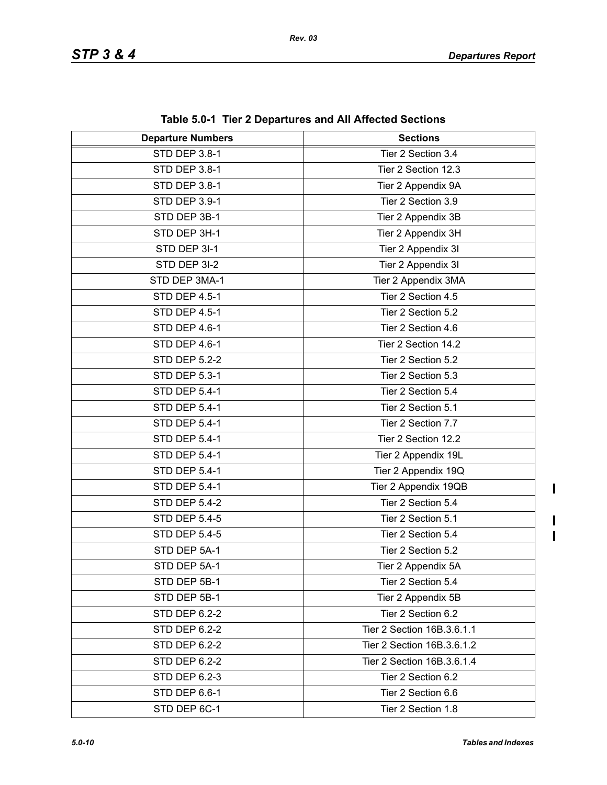| <b>Departure Numbers</b> | $\frac{1}{2}$ and $\frac{1}{2}$ and $\frac{1}{2}$ behaviored the summary control of $\frac{1}{2}$<br><b>Sections</b> |  |
|--------------------------|----------------------------------------------------------------------------------------------------------------------|--|
| <b>STD DEP 3.8-1</b>     | Tier 2 Section 3.4                                                                                                   |  |
| STD DEP 3.8-1            | Tier 2 Section 12.3                                                                                                  |  |
| STD DEP 3.8-1            | Tier 2 Appendix 9A                                                                                                   |  |
| STD DEP 3.9-1            | Tier 2 Section 3.9                                                                                                   |  |
| STD DEP 3B-1             | Tier 2 Appendix 3B                                                                                                   |  |
| STD DEP 3H-1             | Tier 2 Appendix 3H                                                                                                   |  |
| STD DEP 3I-1             | Tier 2 Appendix 3I                                                                                                   |  |
| STD DEP 3I-2             | Tier 2 Appendix 3I                                                                                                   |  |
| STD DEP 3MA-1            | Tier 2 Appendix 3MA                                                                                                  |  |
| STD DEP 4.5-1            | Tier 2 Section 4.5                                                                                                   |  |
| STD DEP 4.5-1            | Tier 2 Section 5.2                                                                                                   |  |
| STD DEP 4.6-1            | Tier 2 Section 4.6                                                                                                   |  |
| STD DEP 4.6-1            | Tier 2 Section 14.2                                                                                                  |  |
| <b>STD DEP 5.2-2</b>     | Tier 2 Section 5.2                                                                                                   |  |
| <b>STD DEP 5.3-1</b>     | Tier 2 Section 5.3                                                                                                   |  |
| STD DEP 5.4-1            | Tier 2 Section 5.4                                                                                                   |  |
| <b>STD DEP 5.4-1</b>     | Tier 2 Section 5.1                                                                                                   |  |
| STD DEP 5.4-1            | Tier 2 Section 7.7                                                                                                   |  |
| STD DEP 5.4-1            | Tier 2 Section 12.2                                                                                                  |  |
| STD DEP 5.4-1            | Tier 2 Appendix 19L                                                                                                  |  |
| <b>STD DEP 5.4-1</b>     | Tier 2 Appendix 19Q                                                                                                  |  |
| STD DEP 5.4-1            | Tier 2 Appendix 19QB                                                                                                 |  |
| <b>STD DEP 5.4-2</b>     | Tier 2 Section 5.4                                                                                                   |  |
| <b>STD DEP 5.4-5</b>     | Tier 2 Section 5.1                                                                                                   |  |
| <b>STD DEP 5.4-5</b>     | Tier 2 Section 5.4                                                                                                   |  |
| STD DEP 5A-1             | Tier 2 Section 5.2                                                                                                   |  |
| STD DEP 5A-1             | Tier 2 Appendix 5A                                                                                                   |  |
| STD DEP 5B-1             | Tier 2 Section 5.4                                                                                                   |  |
| STD DEP 5B-1             | Tier 2 Appendix 5B                                                                                                   |  |
| <b>STD DEP 6.2-2</b>     | Tier 2 Section 6.2                                                                                                   |  |
| <b>STD DEP 6.2-2</b>     | Tier 2 Section 16B.3.6.1.1                                                                                           |  |
| STD DEP 6.2-2            | Tier 2 Section 16B.3.6.1.2                                                                                           |  |
| <b>STD DEP 6.2-2</b>     | Tier 2 Section 16B.3.6.1.4                                                                                           |  |
| STD DEP 6.2-3            | Tier 2 Section 6.2                                                                                                   |  |
| STD DEP 6.6-1            | Tier 2 Section 6.6                                                                                                   |  |
| STD DEP 6C-1             | Tier 2 Section 1.8                                                                                                   |  |

**Table 5.0-1 Tier 2 Departures and All Affected Sections**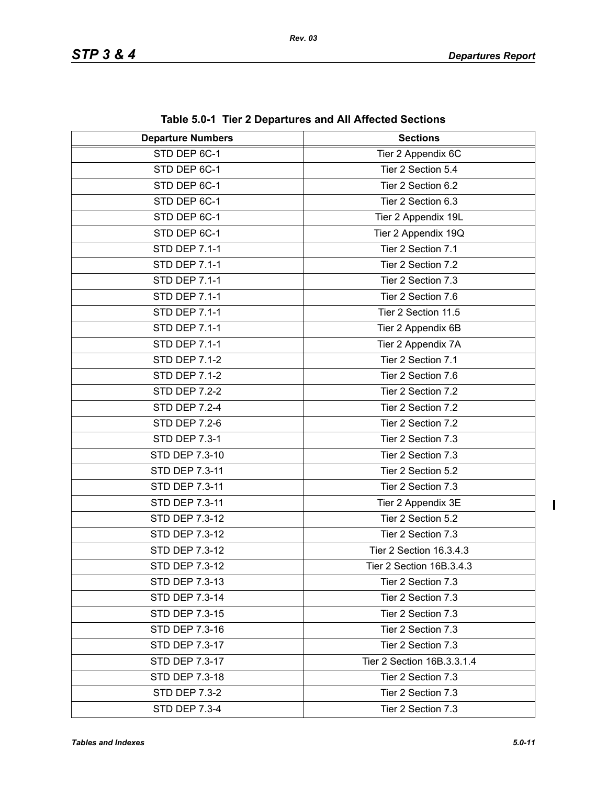| <b>Departure Numbers</b> | <b>Sections</b>            |
|--------------------------|----------------------------|
| STD DEP 6C-1             | Tier 2 Appendix 6C         |
| STD DEP 6C-1             | Tier 2 Section 5.4         |
| STD DEP 6C-1             | Tier 2 Section 6.2         |
| STD DEP 6C-1             | Tier 2 Section 6.3         |
| STD DEP 6C-1             | Tier 2 Appendix 19L        |
| STD DEP 6C-1             | Tier 2 Appendix 19Q        |
| <b>STD DEP 7.1-1</b>     | Tier 2 Section 7.1         |
| <b>STD DEP 7.1-1</b>     | Tier 2 Section 7.2         |
| <b>STD DEP 7.1-1</b>     | Tier 2 Section 7.3         |
| STD DEP 7.1-1            | Tier 2 Section 7.6         |
| <b>STD DEP 7.1-1</b>     | Tier 2 Section 11.5        |
| <b>STD DEP 7.1-1</b>     | Tier 2 Appendix 6B         |
| <b>STD DEP 7.1-1</b>     | Tier 2 Appendix 7A         |
| <b>STD DEP 7.1-2</b>     | Tier 2 Section 7.1         |
| <b>STD DEP 7.1-2</b>     | Tier 2 Section 7.6         |
| <b>STD DEP 7.2-2</b>     | Tier 2 Section 7.2         |
| <b>STD DEP 7.2-4</b>     | Tier 2 Section 7.2         |
| <b>STD DEP 7.2-6</b>     | Tier 2 Section 7.2         |
| <b>STD DEP 7.3-1</b>     | Tier 2 Section 7.3         |
| STD DEP 7.3-10           | Tier 2 Section 7.3         |
| STD DEP 7.3-11           | Tier 2 Section 5.2         |
| STD DEP 7.3-11           | Tier 2 Section 7.3         |
| STD DEP 7.3-11           | Tier 2 Appendix 3E         |
| STD DEP 7.3-12           | Tier 2 Section 5.2         |
| STD DEP 7.3-12           | Tier 2 Section 7.3         |
| STD DEP 7.3-12           | Tier 2 Section 16.3.4.3    |
| STD DEP 7.3-12           | Tier 2 Section 16B.3.4.3   |
| STD DEP 7.3-13           | Tier 2 Section 7.3         |
| STD DEP 7.3-14           | Tier 2 Section 7.3         |
| STD DEP 7.3-15           | Tier 2 Section 7.3         |
| STD DEP 7.3-16           | Tier 2 Section 7.3         |
| STD DEP 7.3-17           | Tier 2 Section 7.3         |
| STD DEP 7.3-17           | Tier 2 Section 16B.3.3.1.4 |
| STD DEP 7.3-18           | Tier 2 Section 7.3         |
| <b>STD DEP 7.3-2</b>     | Tier 2 Section 7.3         |
| <b>STD DEP 7.3-4</b>     | Tier 2 Section 7.3         |

**Table 5.0-1 Tier 2 Departures and All Affected Sections**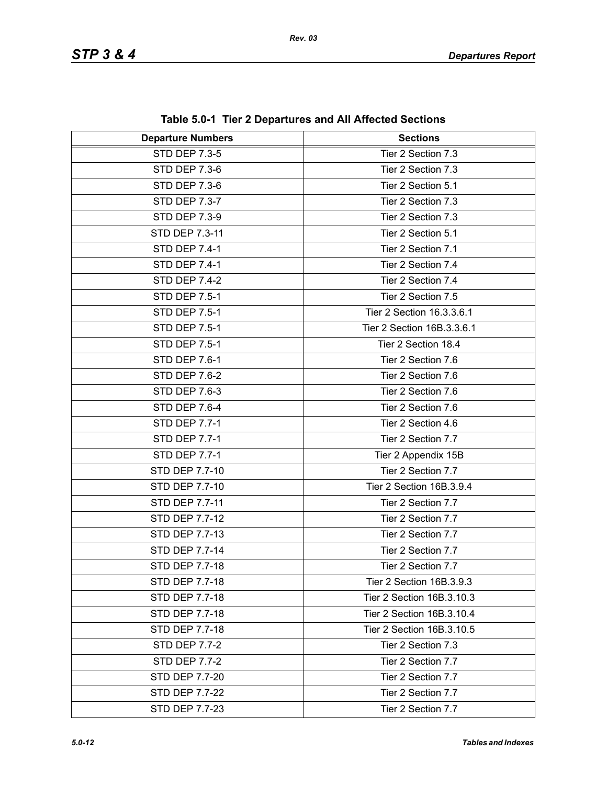| <b>Departure Numbers</b> | <b>Sections</b>            |  |
|--------------------------|----------------------------|--|
| <b>STD DEP 7.3-5</b>     | Tier 2 Section 7.3         |  |
| <b>STD DEP 7.3-6</b>     | Tier 2 Section 7.3         |  |
| <b>STD DEP 7.3-6</b>     | Tier 2 Section 5.1         |  |
| STD DEP 7.3-7            | Tier 2 Section 7.3         |  |
| <b>STD DEP 7.3-9</b>     | Tier 2 Section 7.3         |  |
| STD DEP 7.3-11           | Tier 2 Section 5.1         |  |
| <b>STD DEP 7.4-1</b>     | Tier 2 Section 7.1         |  |
| STD DEP 7.4-1            | Tier 2 Section 7.4         |  |
| <b>STD DEP 7.4-2</b>     | Tier 2 Section 7.4         |  |
| <b>STD DEP 7.5-1</b>     | Tier 2 Section 7.5         |  |
| <b>STD DEP 7.5-1</b>     | Tier 2 Section 16.3.3.6.1  |  |
| <b>STD DEP 7.5-1</b>     | Tier 2 Section 16B.3.3.6.1 |  |
| <b>STD DEP 7.5-1</b>     | Tier 2 Section 18.4        |  |
| STD DEP 7.6-1            | Tier 2 Section 7.6         |  |
| <b>STD DEP 7.6-2</b>     | Tier 2 Section 7.6         |  |
| <b>STD DEP 7.6-3</b>     | Tier 2 Section 7.6         |  |
| STD DEP 7.6-4            | Tier 2 Section 7.6         |  |
| <b>STD DEP 7.7-1</b>     | Tier 2 Section 4.6         |  |
| <b>STD DEP 7.7-1</b>     | Tier 2 Section 7.7         |  |
| <b>STD DEP 7.7-1</b>     | Tier 2 Appendix 15B        |  |
| STD DEP 7.7-10           | Tier 2 Section 7.7         |  |
| STD DEP 7.7-10           | Tier 2 Section 16B.3.9.4   |  |
| STD DEP 7.7-11           | Tier 2 Section 7.7         |  |
| STD DEP 7.7-12           | Tier 2 Section 7.7         |  |
| STD DEP 7.7-13           | Tier 2 Section 7.7         |  |
| STD DEP 7.7-14           | Tier 2 Section 7.7         |  |
| STD DEP 7.7-18           | Tier 2 Section 7.7         |  |
| STD DEP 7.7-18           | Tier 2 Section 16B.3.9.3   |  |
| STD DEP 7.7-18           | Tier 2 Section 16B.3.10.3  |  |
| STD DEP 7.7-18           | Tier 2 Section 16B.3.10.4  |  |
| STD DEP 7.7-18           | Tier 2 Section 16B.3.10.5  |  |
| <b>STD DEP 7.7-2</b>     | Tier 2 Section 7.3         |  |
| <b>STD DEP 7.7-2</b>     | Tier 2 Section 7.7         |  |
| <b>STD DEP 7.7-20</b>    | Tier 2 Section 7.7         |  |
| STD DEP 7.7-22           | Tier 2 Section 7.7         |  |
| STD DEP 7.7-23           | Tier 2 Section 7.7         |  |

**Table 5.0-1 Tier 2 Departures and All Affected Sections**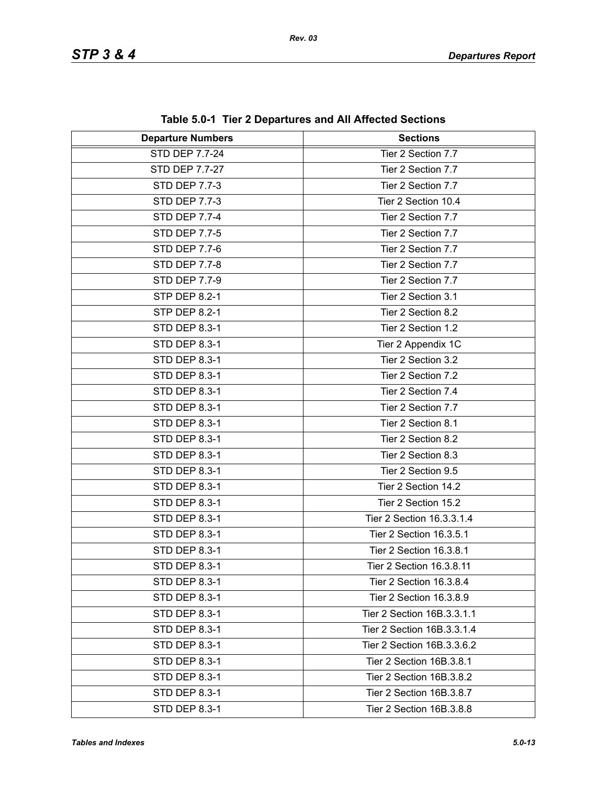| <b>Departure Numbers</b> | $1000$ vive $1001$ $\leq$ Departates and American Occupits<br><b>Sections</b> |  |
|--------------------------|-------------------------------------------------------------------------------|--|
| STD DEP 7.7-24           | Tier 2 Section 7.7                                                            |  |
| STD DEP 7.7-27           | Tier 2 Section 7.7                                                            |  |
| STD DEP 7.7-3            | Tier 2 Section 7.7                                                            |  |
| STD DEP 7.7-3            | Tier 2 Section 10.4                                                           |  |
| <b>STD DEP 7.7-4</b>     | Tier 2 Section 7.7                                                            |  |
| <b>STD DEP 7.7-5</b>     | Tier 2 Section 7.7                                                            |  |
| STD DEP 7.7-6            | Tier 2 Section 7.7                                                            |  |
| <b>STD DEP 7.7-8</b>     | Tier 2 Section 7.7                                                            |  |
| STD DEP 7.7-9            | Tier 2 Section 7.7                                                            |  |
| STP DEP 8.2-1            | Tier 2 Section 3.1                                                            |  |
| <b>STP DEP 8.2-1</b>     | Tier 2 Section 8.2                                                            |  |
| STD DEP 8.3-1            | Tier 2 Section 1.2                                                            |  |
| STD DEP 8.3-1            | Tier 2 Appendix 1C                                                            |  |
| STD DEP 8.3-1            | Tier 2 Section 3.2                                                            |  |
| STD DEP 8.3-1            | Tier 2 Section 7.2                                                            |  |
| STD DEP 8.3-1            | Tier 2 Section 7.4                                                            |  |
| STD DEP 8.3-1            | Tier 2 Section 7.7                                                            |  |
| STD DEP 8.3-1            | Tier 2 Section 8.1                                                            |  |
| STD DEP 8.3-1            | Tier 2 Section 8.2                                                            |  |
| STD DEP 8.3-1            | Tier 2 Section 8.3                                                            |  |
| STD DEP 8.3-1            | Tier 2 Section 9.5                                                            |  |
| STD DEP 8.3-1            | Tier 2 Section 14.2                                                           |  |
| <b>STD DEP 8.3-1</b>     | Tier 2 Section 15.2                                                           |  |
| STD DEP 8.3-1            | Tier 2 Section 16.3.3.1.4                                                     |  |
| STD DEP 8.3-1            | Tier 2 Section 16.3.5.1                                                       |  |
| STD DEP 8.3-1            | Tier 2 Section 16.3.8.1                                                       |  |
| STD DEP 8.3-1            | Tier 2 Section 16.3.8.11                                                      |  |
| STD DEP 8.3-1            | Tier 2 Section 16.3.8.4                                                       |  |
| STD DEP 8.3-1            | Tier 2 Section 16.3.8.9                                                       |  |
| STD DEP 8.3-1            | Tier 2 Section 16B.3.3.1.1                                                    |  |
| STD DEP 8.3-1            | Tier 2 Section 16B.3.3.1.4                                                    |  |
| STD DEP 8.3-1            | Tier 2 Section 16B.3.3.6.2                                                    |  |
| STD DEP 8.3-1            | Tier 2 Section 16B.3.8.1                                                      |  |
| STD DEP 8.3-1            | Tier 2 Section 16B.3.8.2                                                      |  |
| STD DEP 8.3-1            | Tier 2 Section 16B.3.8.7                                                      |  |
| STD DEP 8.3-1            | Tier 2 Section 16B.3.8.8                                                      |  |

**Table 5.0-1 Tier 2 Departures and All Affected Sections**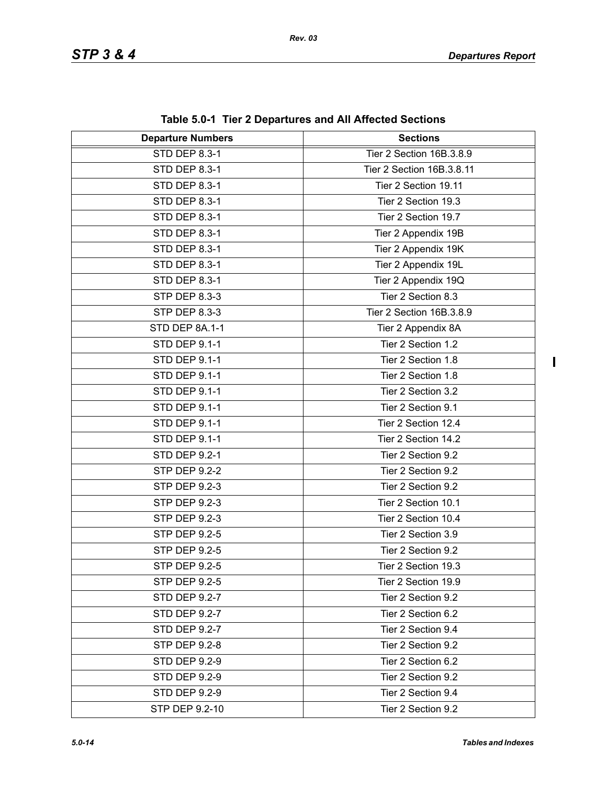| <b>Departure Numbers</b> | $\frac{1}{2}$<br><b>Sections</b> |  |
|--------------------------|----------------------------------|--|
| <b>STD DEP 8.3-1</b>     | Tier 2 Section 16B.3.8.9         |  |
| STD DEP 8.3-1            | Tier 2 Section 16B.3.8.11        |  |
| STD DEP 8.3-1            | Tier 2 Section 19.11             |  |
| STD DEP 8.3-1            | Tier 2 Section 19.3              |  |
| STD DEP 8.3-1            | Tier 2 Section 19.7              |  |
| STD DEP 8.3-1            | Tier 2 Appendix 19B              |  |
| <b>STD DEP 8.3-1</b>     | Tier 2 Appendix 19K              |  |
| STD DEP 8.3-1            | Tier 2 Appendix 19L              |  |
| STD DEP 8.3-1            | Tier 2 Appendix 19Q              |  |
| STP DEP 8.3-3            | Tier 2 Section 8.3               |  |
| <b>STP DEP 8.3-3</b>     | Tier 2 Section 16B.3.8.9         |  |
| STD DEP 8A.1-1           | Tier 2 Appendix 8A               |  |
| STD DEP 9.1-1            | Tier 2 Section 1.2               |  |
| <b>STD DEP 9.1-1</b>     | Tier 2 Section 1.8               |  |
| <b>STD DEP 9.1-1</b>     | Tier 2 Section 1.8               |  |
| STD DEP 9.1-1            | Tier 2 Section 3.2               |  |
| STD DEP 9.1-1            | Tier 2 Section 9.1               |  |
| STD DEP 9.1-1            | Tier 2 Section 12.4              |  |
| <b>STD DEP 9.1-1</b>     | Tier 2 Section 14.2              |  |
| <b>STD DEP 9.2-1</b>     | Tier 2 Section 9.2               |  |
| <b>STP DEP 9.2-2</b>     | Tier 2 Section 9.2               |  |
| STP DEP 9.2-3            | Tier 2 Section 9.2               |  |
| STP DEP 9.2-3            | Tier 2 Section 10.1              |  |
| STP DEP 9.2-3            | Tier 2 Section 10.4              |  |
| STP DEP 9.2-5            | Tier 2 Section 3.9               |  |
| <b>STP DEP 9.2-5</b>     | Tier 2 Section 9.2               |  |
| STP DEP 9.2-5            | Tier 2 Section 19.3              |  |
| <b>STP DEP 9.2-5</b>     | Tier 2 Section 19.9              |  |
| STD DEP 9.2-7            | Tier 2 Section 9.2               |  |
| STD DEP 9.2-7            | Tier 2 Section 6.2               |  |
| STD DEP 9.2-7            | Tier 2 Section 9.4               |  |
| STP DEP 9.2-8            | Tier 2 Section 9.2               |  |
| <b>STD DEP 9.2-9</b>     | Tier 2 Section 6.2               |  |
| <b>STD DEP 9.2-9</b>     | Tier 2 Section 9.2               |  |
| <b>STD DEP 9.2-9</b>     | Tier 2 Section 9.4               |  |
| STP DEP 9.2-10           | Tier 2 Section 9.2               |  |

**Table 5.0-1 Tier 2 Departures and All Affected Sections**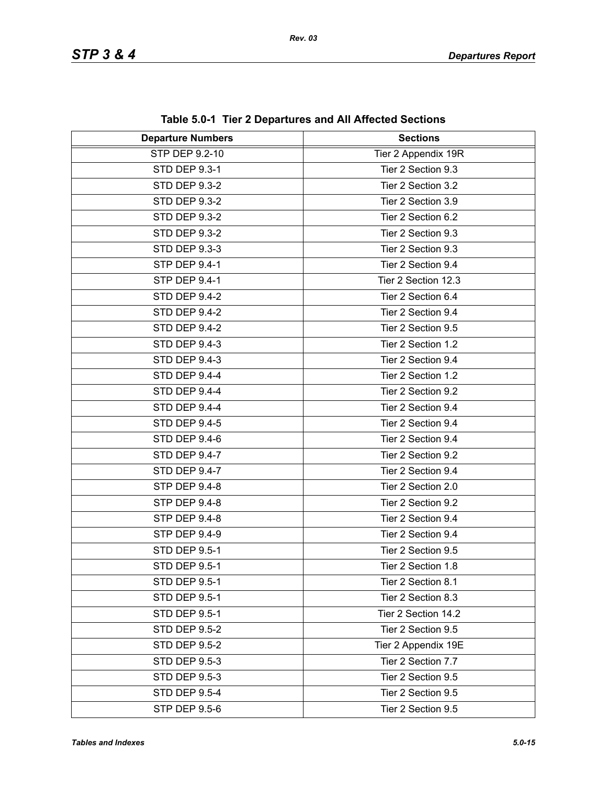| <b>Departure Numbers</b> | <b>Sections</b>     |  |
|--------------------------|---------------------|--|
| <b>STP DEP 9.2-10</b>    | Tier 2 Appendix 19R |  |
| STD DEP 9.3-1            | Tier 2 Section 9.3  |  |
| <b>STD DEP 9.3-2</b>     | Tier 2 Section 3.2  |  |
| <b>STD DEP 9.3-2</b>     | Tier 2 Section 3.9  |  |
| <b>STD DEP 9.3-2</b>     | Tier 2 Section 6.2  |  |
| <b>STD DEP 9.3-2</b>     | Tier 2 Section 9.3  |  |
| STD DEP 9.3-3            | Tier 2 Section 9.3  |  |
| STP DEP 9.4-1            | Tier 2 Section 9.4  |  |
| STP DEP 9.4-1            | Tier 2 Section 12.3 |  |
| <b>STD DEP 9.4-2</b>     | Tier 2 Section 6.4  |  |
| <b>STD DEP 9.4-2</b>     | Tier 2 Section 9.4  |  |
| <b>STD DEP 9.4-2</b>     | Tier 2 Section 9.5  |  |
| <b>STD DEP 9.4-3</b>     | Tier 2 Section 1.2  |  |
| <b>STD DEP 9.4-3</b>     | Tier 2 Section 9.4  |  |
| STD DEP 9.4-4            | Tier 2 Section 1.2  |  |
| STD DEP 9.4-4            | Tier 2 Section 9.2  |  |
| STD DEP 9.4-4            | Tier 2 Section 9.4  |  |
| <b>STD DEP 9.4-5</b>     | Tier 2 Section 9.4  |  |
| STD DEP 9.4-6            | Tier 2 Section 9.4  |  |
| STD DEP 9.4-7            | Tier 2 Section 9.2  |  |
| <b>STD DEP 9.4-7</b>     | Tier 2 Section 9.4  |  |
| STP DEP 9.4-8            | Tier 2 Section 2.0  |  |
| <b>STP DEP 9.4-8</b>     | Tier 2 Section 9.2  |  |
| <b>STP DEP 9.4-8</b>     | Tier 2 Section 9.4  |  |
| <b>STP DEP 9.4-9</b>     | Tier 2 Section 9.4  |  |
| <b>STD DEP 9.5-1</b>     | Tier 2 Section 9.5  |  |
| STD DEP 9.5-1            | Tier 2 Section 1.8  |  |
| <b>STD DEP 9.5-1</b>     | Tier 2 Section 8.1  |  |
| <b>STD DEP 9.5-1</b>     | Tier 2 Section 8.3  |  |
| <b>STD DEP 9.5-1</b>     | Tier 2 Section 14.2 |  |
| <b>STD DEP 9.5-2</b>     | Tier 2 Section 9.5  |  |
| <b>STD DEP 9.5-2</b>     | Tier 2 Appendix 19E |  |
| STD DEP 9.5-3            | Tier 2 Section 7.7  |  |
| <b>STD DEP 9.5-3</b>     | Tier 2 Section 9.5  |  |
| <b>STD DEP 9.5-4</b>     | Tier 2 Section 9.5  |  |
| <b>STP DEP 9.5-6</b>     | Tier 2 Section 9.5  |  |

**Table 5.0-1 Tier 2 Departures and All Affected Sections**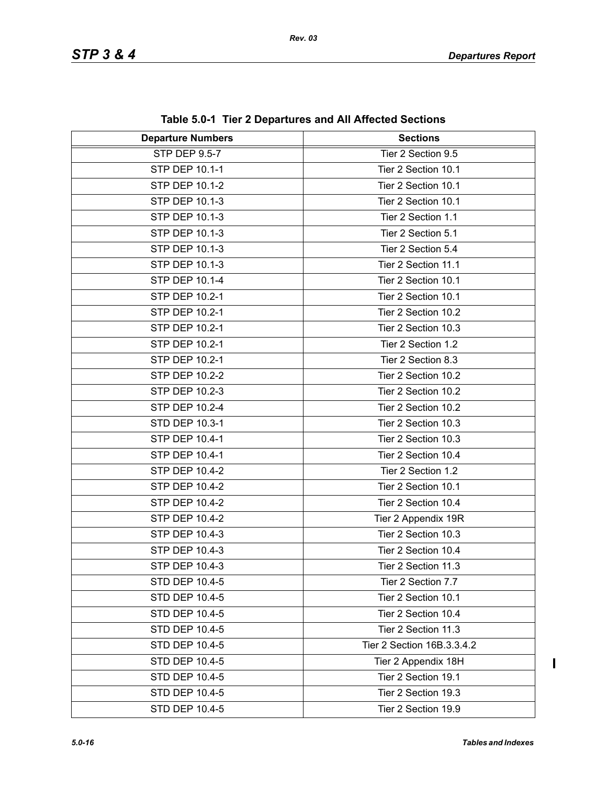| <b>Departure Numbers</b> | <b>Sections</b>            |  |
|--------------------------|----------------------------|--|
| STP DEP 9.5-7            | Tier 2 Section 9.5         |  |
| STP DEP 10.1-1           | Tier 2 Section 10.1        |  |
| <b>STP DEP 10.1-2</b>    | Tier 2 Section 10.1        |  |
| STP DEP 10.1-3           | Tier 2 Section 10.1        |  |
| STP DEP 10.1-3           | Tier 2 Section 1.1         |  |
| <b>STP DEP 10.1-3</b>    | Tier 2 Section 5.1         |  |
| STP DEP 10.1-3           | Tier 2 Section 5.4         |  |
| <b>STP DEP 10.1-3</b>    | Tier 2 Section 11.1        |  |
| STP DEP 10.1-4           | Tier 2 Section 10.1        |  |
| STP DEP 10.2-1           | Tier 2 Section 10.1        |  |
| STP DEP 10.2-1           | Tier 2 Section 10.2        |  |
| STP DEP 10.2-1           | Tier 2 Section 10.3        |  |
| STP DEP 10.2-1           | Tier 2 Section 1.2         |  |
| STP DEP 10.2-1           | Tier 2 Section 8.3         |  |
| STP DEP 10.2-2           | Tier 2 Section 10.2        |  |
| STP DEP 10.2-3           | Tier 2 Section 10.2        |  |
| STP DEP 10.2-4           | Tier 2 Section 10.2        |  |
| STD DEP 10.3-1           | Tier 2 Section 10.3        |  |
| STP DEP 10.4-1           | Tier 2 Section 10.3        |  |
| STP DEP 10.4-1           | Tier 2 Section 10.4        |  |
| <b>STP DEP 10.4-2</b>    | Tier 2 Section 1.2         |  |
| STP DEP 10.4-2           | Tier 2 Section 10.1        |  |
| STP DEP 10.4-2           | Tier 2 Section 10.4        |  |
| <b>STP DEP 10.4-2</b>    | Tier 2 Appendix 19R        |  |
| STP DEP 10.4-3           | Tier 2 Section 10.3        |  |
| STP DEP 10.4-3           | Tier 2 Section 10.4        |  |
| STP DEP 10.4-3           | Tier 2 Section 11.3        |  |
| <b>STD DEP 10.4-5</b>    | Tier 2 Section 7.7         |  |
| STD DEP 10.4-5           | Tier 2 Section 10.1        |  |
| STD DEP 10.4-5           | Tier 2 Section 10.4        |  |
| <b>STD DEP 10.4-5</b>    | Tier 2 Section 11.3        |  |
| STD DEP 10.4-5           | Tier 2 Section 16B.3.3.4.2 |  |
| STD DEP 10.4-5           | Tier 2 Appendix 18H        |  |
| STD DEP 10.4-5           | Tier 2 Section 19.1        |  |
| STD DEP 10.4-5           | Tier 2 Section 19.3        |  |
| STD DEP 10.4-5           | Tier 2 Section 19.9        |  |

**Table 5.0-1 Tier 2 Departures and All Affected Sections**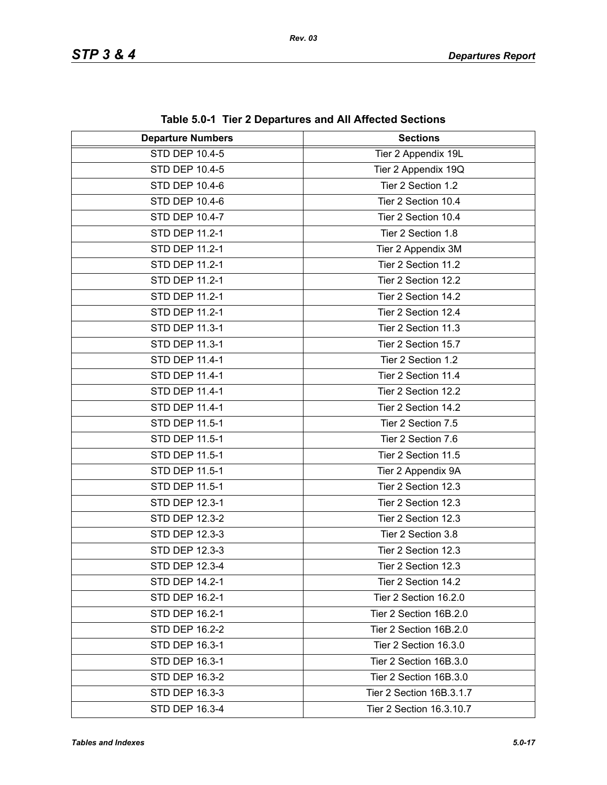| <b>Departure Numbers</b> | <b>Sections</b>          |  |
|--------------------------|--------------------------|--|
| <b>STD DEP 10.4-5</b>    | Tier 2 Appendix 19L      |  |
| STD DEP 10.4-5           | Tier 2 Appendix 19Q      |  |
| <b>STD DEP 10.4-6</b>    | Tier 2 Section 1.2       |  |
| STD DEP 10.4-6           | Tier 2 Section 10.4      |  |
| STD DEP 10.4-7           | Tier 2 Section 10.4      |  |
| STD DEP 11.2-1           | Tier 2 Section 1.8       |  |
| STD DEP 11.2-1           | Tier 2 Appendix 3M       |  |
| STD DEP 11.2-1           | Tier 2 Section 11.2      |  |
| STD DEP 11.2-1           | Tier 2 Section 12.2      |  |
| STD DEP 11.2-1           | Tier 2 Section 14.2      |  |
| STD DEP 11.2-1           | Tier 2 Section 12.4      |  |
| <b>STD DEP 11.3-1</b>    | Tier 2 Section 11.3      |  |
| STD DEP 11.3-1           | Tier 2 Section 15.7      |  |
| STD DEP 11.4-1           | Tier 2 Section 1.2       |  |
| STD DEP 11.4-1           | Tier 2 Section 11.4      |  |
| STD DEP 11.4-1           | Tier 2 Section 12.2      |  |
| STD DEP 11.4-1           | Tier 2 Section 14.2      |  |
| STD DEP 11.5-1           | Tier 2 Section 7.5       |  |
| STD DEP 11.5-1           | Tier 2 Section 7.6       |  |
| STD DEP 11.5-1           | Tier 2 Section 11.5      |  |
| STD DEP 11.5-1           | Tier 2 Appendix 9A       |  |
| STD DEP 11.5-1           | Tier 2 Section 12.3      |  |
| STD DEP 12.3-1           | Tier 2 Section 12.3      |  |
| <b>STD DEP 12.3-2</b>    | Tier 2 Section 12.3      |  |
| STD DEP 12.3-3           | Tier 2 Section 3.8       |  |
| STD DEP 12.3-3           | Tier 2 Section 12.3      |  |
| STD DEP 12.3-4           | Tier 2 Section 12.3      |  |
| STD DEP 14.2-1           | Tier 2 Section 14.2      |  |
| STD DEP 16.2-1           | Tier 2 Section 16.2.0    |  |
| STD DEP 16.2-1           | Tier 2 Section 16B.2.0   |  |
| STD DEP 16.2-2           | Tier 2 Section 16B.2.0   |  |
| STD DEP 16.3-1           | Tier 2 Section 16.3.0    |  |
| STD DEP 16.3-1           | Tier 2 Section 16B.3.0   |  |
| STD DEP 16.3-2           | Tier 2 Section 16B.3.0   |  |
| STD DEP 16.3-3           | Tier 2 Section 16B.3.1.7 |  |
| STD DEP 16.3-4           | Tier 2 Section 16.3.10.7 |  |

**Table 5.0-1 Tier 2 Departures and All Affected Sections**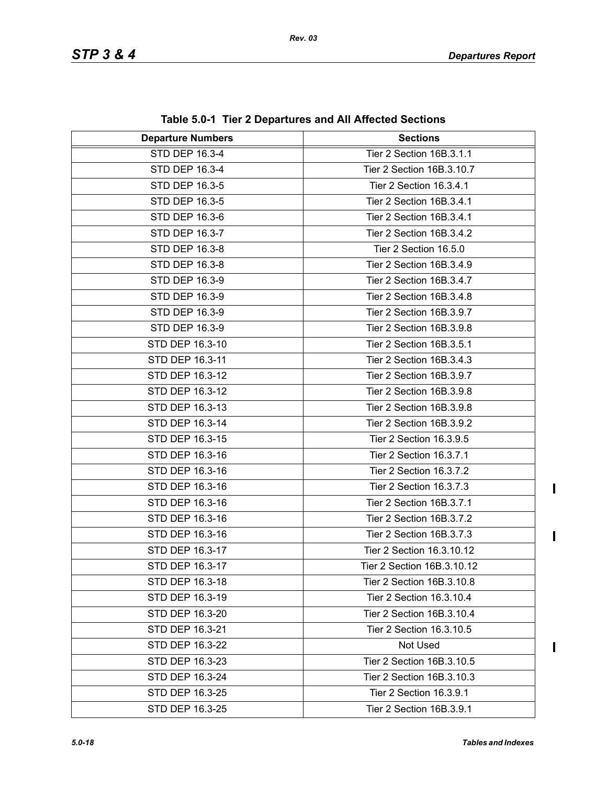| <b>Departure Numbers</b> | <b>Sections</b>            |  |
|--------------------------|----------------------------|--|
| STD DEP 16.3-4           | Tier 2 Section 16B.3.1.1   |  |
| STD DEP 16.3-4           | Tier 2 Section 16B.3.10.7  |  |
| STD DEP 16.3-5           | Tier 2 Section 16.3.4.1    |  |
| STD DEP 16.3-5           | Tier 2 Section 16B.3.4.1   |  |
| STD DEP 16.3-6           | Tier 2 Section 16B.3.4.1   |  |
| STD DEP 16.3-7           | Tier 2 Section 16B.3.4.2   |  |
| STD DEP 16.3-8           | Tier 2 Section 16.5.0      |  |
| STD DEP 16.3-8           | Tier 2 Section 16B.3.4.9   |  |
| STD DEP 16.3-9           | Tier 2 Section 16B.3.4.7   |  |
| STD DEP 16.3-9           | Tier 2 Section 16B.3.4.8   |  |
| STD DEP 16.3-9           | Tier 2 Section 16B.3.9.7   |  |
| STD DEP 16.3-9           | Tier 2 Section 16B.3.9.8   |  |
| STD DEP 16.3-10          | Tier 2 Section 16B.3.5.1   |  |
| STD DEP 16.3-11          | Tier 2 Section 16B.3.4.3   |  |
| STD DEP 16.3-12          | Tier 2 Section 16B.3.9.7   |  |
| STD DEP 16.3-12          | Tier 2 Section 16B.3.9.8   |  |
| STD DEP 16.3-13          | Tier 2 Section 16B.3.9.8   |  |
| STD DEP 16.3-14          | Tier 2 Section 16B.3.9.2   |  |
| STD DEP 16.3-15          | Tier 2 Section 16.3.9.5    |  |
| STD DEP 16.3-16          | Tier 2 Section 16.3.7.1    |  |
| STD DEP 16.3-16          | Tier 2 Section 16.3.7.2    |  |
| STD DEP 16.3-16          | Tier 2 Section 16.3.7.3    |  |
| STD DEP 16.3-16          | Tier 2 Section 16B.3.7.1   |  |
| STD DEP 16.3-16          | Tier 2 Section 16B.3.7.2   |  |
| STD DEP 16.3-16          | Tier 2 Section 16B.3.7.3   |  |
| STD DEP 16.3-17          | Tier 2 Section 16.3.10.12  |  |
| STD DEP 16.3-17          | Tier 2 Section 16B.3.10.12 |  |
| STD DEP 16.3-18          | Tier 2 Section 16B.3.10.8  |  |
| STD DEP 16.3-19          | Tier 2 Section 16.3.10.4   |  |
| STD DEP 16.3-20          | Tier 2 Section 16B.3.10.4  |  |
| STD DEP 16.3-21          | Tier 2 Section 16.3.10.5   |  |
| STD DEP 16.3-22          | Not Used                   |  |
| STD DEP 16.3-23          | Tier 2 Section 16B.3.10.5  |  |
| STD DEP 16.3-24          | Tier 2 Section 16B.3.10.3  |  |
| STD DEP 16.3-25          | Tier 2 Section 16.3.9.1    |  |
| STD DEP 16.3-25          | Tier 2 Section 16B.3.9.1   |  |

**Table 5.0-1 Tier 2 Departures and All Affected Sections**

 $\blacksquare$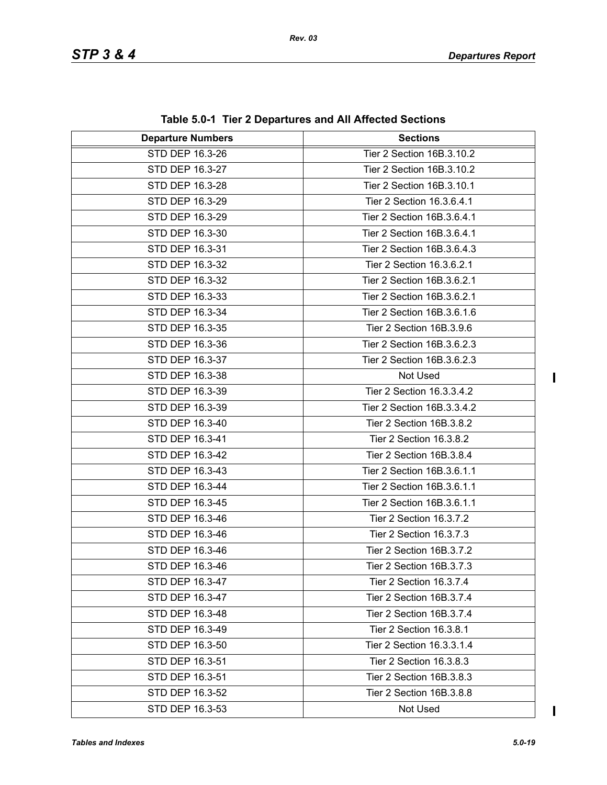| <b>Departure Numbers</b> | <b>Sections</b>            |  |
|--------------------------|----------------------------|--|
| STD DEP 16.3-26          | Tier 2 Section 16B.3.10.2  |  |
| STD DEP 16.3-27          | Tier 2 Section 16B.3.10.2  |  |
| STD DEP 16.3-28          | Tier 2 Section 16B.3.10.1  |  |
| STD DEP 16.3-29          | Tier 2 Section 16.3.6.4.1  |  |
| STD DEP 16.3-29          | Tier 2 Section 16B.3.6.4.1 |  |
| STD DEP 16.3-30          | Tier 2 Section 16B.3.6.4.1 |  |
| STD DEP 16.3-31          | Tier 2 Section 16B.3.6.4.3 |  |
| STD DEP 16.3-32          | Tier 2 Section 16.3.6.2.1  |  |
| STD DEP 16.3-32          | Tier 2 Section 16B.3.6.2.1 |  |
| STD DEP 16.3-33          | Tier 2 Section 16B.3.6.2.1 |  |
| STD DEP 16.3-34          | Tier 2 Section 16B.3.6.1.6 |  |
| STD DEP 16.3-35          | Tier 2 Section 16B.3.9.6   |  |
| STD DEP 16.3-36          | Tier 2 Section 16B.3.6.2.3 |  |
| STD DEP 16.3-37          | Tier 2 Section 16B.3.6.2.3 |  |
| STD DEP 16.3-38          | Not Used                   |  |
| STD DEP 16.3-39          | Tier 2 Section 16.3.3.4.2  |  |
| STD DEP 16.3-39          | Tier 2 Section 16B.3.3.4.2 |  |
| STD DEP 16.3-40          | Tier 2 Section 16B.3.8.2   |  |
| STD DEP 16.3-41          | Tier 2 Section 16.3.8.2    |  |
| STD DEP 16.3-42          | Tier 2 Section 16B.3.8.4   |  |
| STD DEP 16.3-43          | Tier 2 Section 16B.3.6.1.1 |  |
| STD DEP 16.3-44          | Tier 2 Section 16B.3.6.1.1 |  |
| STD DEP 16.3-45          | Tier 2 Section 16B.3.6.1.1 |  |
| STD DEP 16.3-46          | Tier 2 Section 16.3.7.2    |  |
| STD DEP 16.3-46          | Tier 2 Section 16.3.7.3    |  |
| STD DEP 16.3-46          | Tier 2 Section 16B.3.7.2   |  |
| STD DEP 16.3-46          | Tier 2 Section 16B.3.7.3   |  |
| STD DEP 16.3-47          | Tier 2 Section 16.3.7.4    |  |
| STD DEP 16.3-47          | Tier 2 Section 16B.3.7.4   |  |
| STD DEP 16.3-48          | Tier 2 Section 16B.3.7.4   |  |
| STD DEP 16.3-49          | Tier 2 Section 16.3.8.1    |  |
| STD DEP 16.3-50          | Tier 2 Section 16.3.3.1.4  |  |
| STD DEP 16.3-51          | Tier 2 Section 16.3.8.3    |  |
| STD DEP 16.3-51          | Tier 2 Section 16B.3.8.3   |  |
| STD DEP 16.3-52          | Tier 2 Section 16B.3.8.8   |  |
| STD DEP 16.3-53          | Not Used                   |  |

**Table 5.0-1 Tier 2 Departures and All Affected Sections**

 $\mathbf I$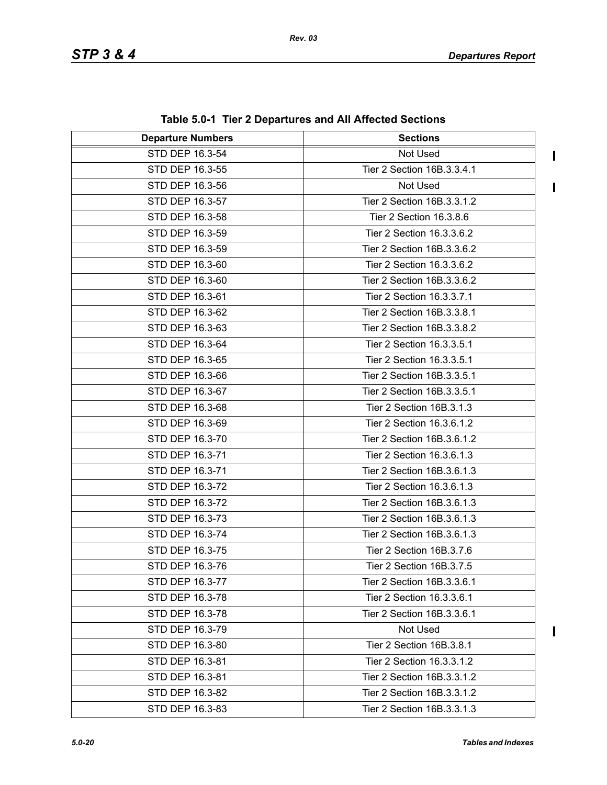$\mathbf I$ 

 $\mathbf{I}$ 

| <b>Departure Numbers</b> | <b>Sections</b>            |  |
|--------------------------|----------------------------|--|
| STD DEP 16.3-54          | Not Used                   |  |
| STD DEP 16.3-55          | Tier 2 Section 16B.3.3.4.1 |  |
| STD DEP 16.3-56          | Not Used                   |  |
| STD DEP 16.3-57          | Tier 2 Section 16B.3.3.1.2 |  |
| STD DEP 16.3-58          | Tier 2 Section 16.3.8.6    |  |
| STD DEP 16.3-59          | Tier 2 Section 16.3.3.6.2  |  |
| STD DEP 16.3-59          | Tier 2 Section 16B.3.3.6.2 |  |
| STD DEP 16.3-60          | Tier 2 Section 16.3.3.6.2  |  |
| STD DEP 16.3-60          | Tier 2 Section 16B.3.3.6.2 |  |
| STD DEP 16.3-61          | Tier 2 Section 16.3.3.7.1  |  |
| STD DEP 16.3-62          | Tier 2 Section 16B.3.3.8.1 |  |
| STD DEP 16.3-63          | Tier 2 Section 16B.3.3.8.2 |  |
| STD DEP 16.3-64          | Tier 2 Section 16.3.3.5.1  |  |
| STD DEP 16.3-65          | Tier 2 Section 16.3.3.5.1  |  |
| STD DEP 16.3-66          | Tier 2 Section 16B.3.3.5.1 |  |
| STD DEP 16.3-67          | Tier 2 Section 16B.3.3.5.1 |  |
| STD DEP 16.3-68          | Tier 2 Section 16B.3.1.3   |  |
| STD DEP 16.3-69          | Tier 2 Section 16.3.6.1.2  |  |
| STD DEP 16.3-70          | Tier 2 Section 16B.3.6.1.2 |  |
| STD DEP 16.3-71          | Tier 2 Section 16.3.6.1.3  |  |
| STD DEP 16.3-71          | Tier 2 Section 16B.3.6.1.3 |  |
| STD DEP 16.3-72          | Tier 2 Section 16.3.6.1.3  |  |
| STD DEP 16.3-72          | Tier 2 Section 16B.3.6.1.3 |  |
| STD DEP 16.3-73          | Tier 2 Section 16B.3.6.1.3 |  |
| STD DEP 16.3-74          | Tier 2 Section 16B.3.6.1.3 |  |
| STD DEP 16.3-75          | Tier 2 Section 16B.3.7.6   |  |
| STD DEP 16.3-76          | Tier 2 Section 16B.3.7.5   |  |
| STD DEP 16.3-77          | Tier 2 Section 16B.3.3.6.1 |  |
| STD DEP 16.3-78          | Tier 2 Section 16.3.3.6.1  |  |
| STD DEP 16.3-78          | Tier 2 Section 16B.3.3.6.1 |  |
| STD DEP 16.3-79          | Not Used                   |  |
| STD DEP 16.3-80          | Tier 2 Section 16B.3.8.1   |  |
| STD DEP 16.3-81          | Tier 2 Section 16.3.3.1.2  |  |
| STD DEP 16.3-81          | Tier 2 Section 16B.3.3.1.2 |  |
| STD DEP 16.3-82          | Tier 2 Section 16B.3.3.1.2 |  |
| STD DEP 16.3-83          | Tier 2 Section 16B.3.3.1.3 |  |

**Table 5.0-1 Tier 2 Departures and All Affected Sections**

 $\overline{\phantom{a}}$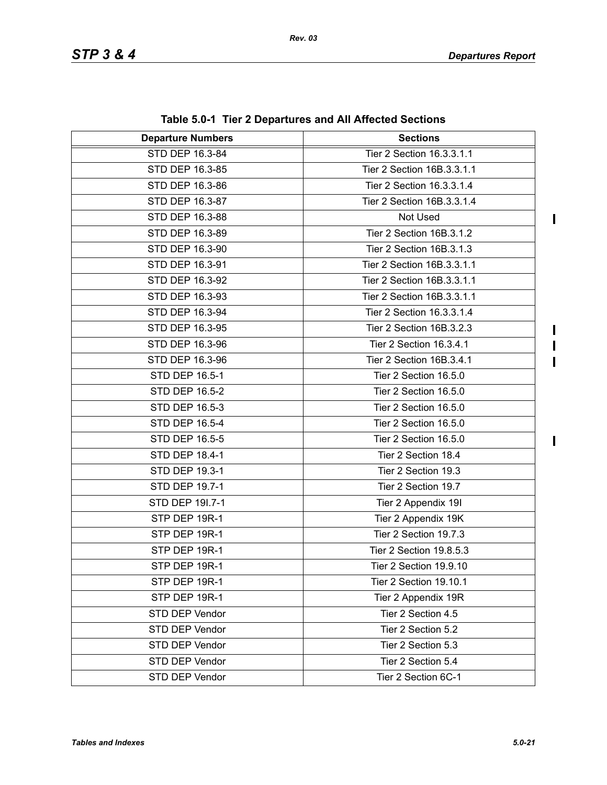$\begin{array}{c} \hline \end{array}$ 

 $\mathbf I$  $\overline{\mathbf{I}}$  $\mathbf{I}$ 

| <b>Departure Numbers</b> | <b>Sections</b>            |  |
|--------------------------|----------------------------|--|
| STD DEP 16.3-84          | Tier 2 Section 16.3.3.1.1  |  |
| STD DEP 16.3-85          | Tier 2 Section 16B.3.3.1.1 |  |
| STD DEP 16.3-86          | Tier 2 Section 16.3.3.1.4  |  |
| STD DEP 16.3-87          | Tier 2 Section 16B.3.3.1.4 |  |
| STD DEP 16.3-88          | Not Used                   |  |
| STD DEP 16.3-89          | Tier 2 Section 16B.3.1.2   |  |
| STD DEP 16.3-90          | Tier 2 Section 16B.3.1.3   |  |
| STD DEP 16.3-91          | Tier 2 Section 16B.3.3.1.1 |  |
| STD DEP 16.3-92          | Tier 2 Section 16B.3.3.1.1 |  |
| STD DEP 16.3-93          | Tier 2 Section 16B.3.3.1.1 |  |
| STD DEP 16.3-94          | Tier 2 Section 16.3.3.1.4  |  |
| STD DEP 16.3-95          | Tier 2 Section 16B.3.2.3   |  |
| STD DEP 16.3-96          | Tier 2 Section 16.3.4.1    |  |
| STD DEP 16.3-96          | Tier 2 Section 16B.3.4.1   |  |
| STD DEP 16.5-1           | Tier 2 Section 16.5.0      |  |
| STD DEP 16.5-2           | Tier 2 Section 16.5.0      |  |
| STD DEP 16.5-3           | Tier 2 Section 16.5.0      |  |
| STD DEP 16.5-4           | Tier 2 Section 16.5.0      |  |
| STD DEP 16.5-5           | Tier 2 Section 16.5.0      |  |
| STD DEP 18.4-1           | Tier 2 Section 18.4        |  |
| STD DEP 19.3-1           | Tier 2 Section 19.3        |  |
| STD DEP 19.7-1           | Tier 2 Section 19.7        |  |
| STD DEP 19I.7-1          | Tier 2 Appendix 19I        |  |
| STP DEP 19R-1            | Tier 2 Appendix 19K        |  |
| STP DEP 19R-1            | Tier 2 Section 19.7.3      |  |
| STP DEP 19R-1            | Tier 2 Section 19.8.5.3    |  |
| STP DEP 19R-1            | Tier 2 Section 19.9.10     |  |
| STP DEP 19R-1            | Tier 2 Section 19.10.1     |  |
| STP DEP 19R-1            | Tier 2 Appendix 19R        |  |
| STD DEP Vendor           | Tier 2 Section 4.5         |  |
| STD DEP Vendor           | Tier 2 Section 5.2         |  |
| STD DEP Vendor           | Tier 2 Section 5.3         |  |
| STD DEP Vendor           | Tier 2 Section 5.4         |  |
| STD DEP Vendor           | Tier 2 Section 6C-1        |  |

**Table 5.0-1 Tier 2 Departures and All Affected Sections**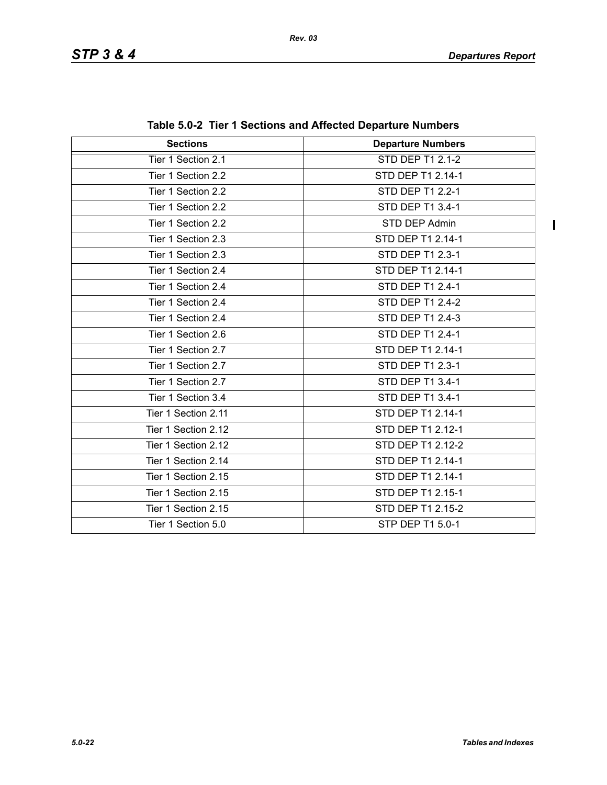$\begin{array}{c} \hline \end{array}$ 

| <b>Sections</b>     | <b>Departure Numbers</b> |  |
|---------------------|--------------------------|--|
| Tier 1 Section 2.1  | STD DEP T1 2.1-2         |  |
| Tier 1 Section 2.2  | STD DEP T1 2.14-1        |  |
| Tier 1 Section 2.2  | STD DEP T1 2.2-1         |  |
| Tier 1 Section 2.2  | STD DEP T1 3.4-1         |  |
| Tier 1 Section 2.2  | STD DEP Admin            |  |
| Tier 1 Section 2.3  | STD DEP T1 2.14-1        |  |
| Tier 1 Section 2.3  | STD DEP T1 2.3-1         |  |
| Tier 1 Section 2.4  | STD DEP T1 2.14-1        |  |
| Tier 1 Section 2.4  | STD DEP T1 2.4-1         |  |
| Tier 1 Section 2.4  | STD DEP T1 2.4-2         |  |
| Tier 1 Section 2.4  | STD DEP T1 2.4-3         |  |
| Tier 1 Section 2.6  | STD DEP T1 2.4-1         |  |
| Tier 1 Section 2.7  | STD DEP T1 2.14-1        |  |
| Tier 1 Section 2.7  | STD DEP T1 2.3-1         |  |
| Tier 1 Section 2.7  | STD DEP T1 3.4-1         |  |
| Tier 1 Section 3.4  | STD DEP T1 3.4-1         |  |
| Tier 1 Section 2.11 | STD DEP T1 2.14-1        |  |
| Tier 1 Section 2.12 | STD DEP T1 2.12-1        |  |
| Tier 1 Section 2.12 | STD DEP T1 2.12-2        |  |
| Tier 1 Section 2.14 | STD DEP T1 2.14-1        |  |
| Tier 1 Section 2.15 | STD DEP T1 2.14-1        |  |
| Tier 1 Section 2.15 | STD DEP T1 2.15-1        |  |
| Tier 1 Section 2.15 | STD DEP T1 2.15-2        |  |
| Tier 1 Section 5.0  | STP DEP T1 5.0-1         |  |

| Table 5.0-2 Tier 1 Sections and Affected Departure Numbers |  |  |  |  |
|------------------------------------------------------------|--|--|--|--|
|------------------------------------------------------------|--|--|--|--|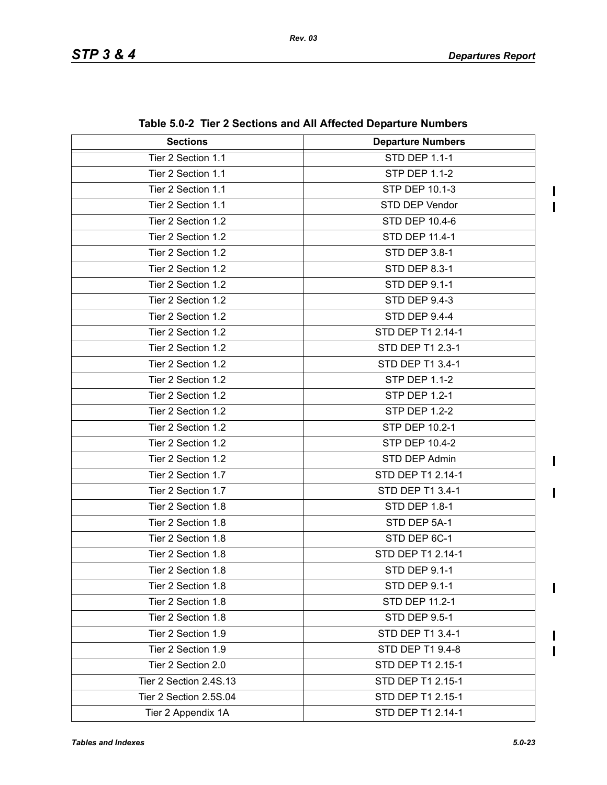$\blacksquare$  $\mathbf I$ 

 $\mathbf{I}$ 

 $\mathbf{I}$ 

 $\begin{array}{c} \hline \end{array}$ 

 $\mathbf I$  $\blacksquare$ 

| <b>Sections</b>        | <b>Departure Numbers</b> |
|------------------------|--------------------------|
| Tier 2 Section 1.1     | STD DEP 1.1-1            |
| Tier 2 Section 1.1     | <b>STP DEP 1.1-2</b>     |
| Tier 2 Section 1.1     | <b>STP DEP 10.1-3</b>    |
| Tier 2 Section 1.1     | STD DEP Vendor           |
| Tier 2 Section 1.2     | STD DEP 10.4-6           |
| Tier 2 Section 1.2     | STD DEP 11.4-1           |
| Tier 2 Section 1.2     | STD DEP 3.8-1            |
| Tier 2 Section 1.2     | <b>STD DEP 8.3-1</b>     |
| Tier 2 Section 1.2     | STD DEP 9.1-1            |
| Tier 2 Section 1.2     | STD DEP 9.4-3            |
| Tier 2 Section 1.2     | <b>STD DEP 9.4-4</b>     |
| Tier 2 Section 1.2     | STD DEP T1 2.14-1        |
| Tier 2 Section 1.2     | STD DEP T1 2.3-1         |
| Tier 2 Section 1.2     | STD DEP T1 3.4-1         |
| Tier 2 Section 1.2     | <b>STP DEP 1.1-2</b>     |
| Tier 2 Section 1.2     | <b>STP DEP 1.2-1</b>     |
| Tier 2 Section 1.2     | <b>STP DEP 1.2-2</b>     |
| Tier 2 Section 1.2     | STP DEP 10.2-1           |
| Tier 2 Section 1.2     | STP DEP 10.4-2           |
| Tier 2 Section 1.2     | STD DEP Admin            |
| Tier 2 Section 1.7     | STD DEP T1 2.14-1        |
| Tier 2 Section 1.7     | STD DEP T1 3.4-1         |
| Tier 2 Section 1.8     | STD DEP 1.8-1            |
| Tier 2 Section 1.8     | STD DEP 5A-1             |
| Tier 2 Section 1.8     | STD DEP 6C-1             |
| Tier 2 Section 1.8     | STD DEP T1 2.14-1        |
| Tier 2 Section 1.8     | <b>STD DEP 9.1-1</b>     |
| Tier 2 Section 1.8     | STD DEP 9.1-1            |
| Tier 2 Section 1.8     | STD DEP 11.2-1           |
| Tier 2 Section 1.8     | <b>STD DEP 9.5-1</b>     |
| Tier 2 Section 1.9     | STD DEP T1 3.4-1         |
| Tier 2 Section 1.9     | STD DEP T1 9.4-8         |
| Tier 2 Section 2.0     | STD DEP T1 2.15-1        |
| Tier 2 Section 2.4S.13 | STD DEP T1 2.15-1        |
| Tier 2 Section 2.5S.04 | STD DEP T1 2.15-1        |
| Tier 2 Appendix 1A     | STD DEP T1 2.14-1        |

**Table 5.0-2 Tier 2 Sections and All Affected Departure Numbers**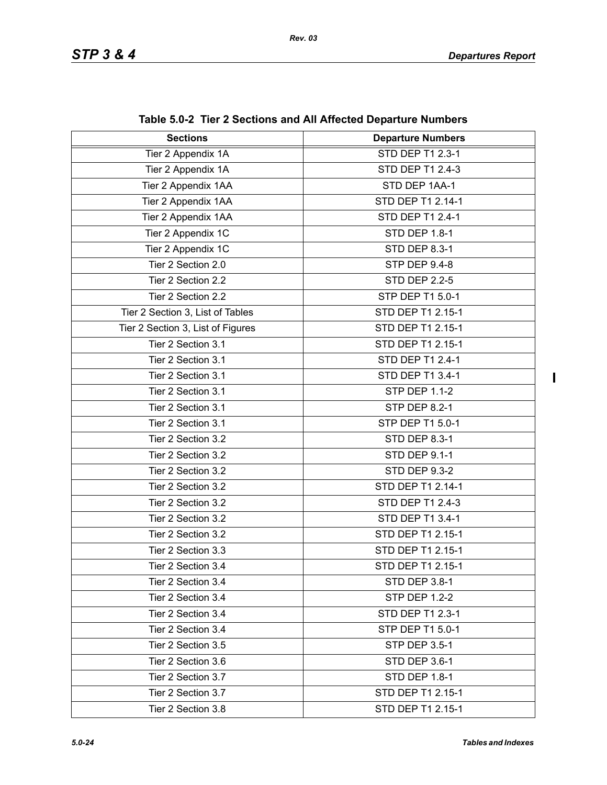| <b>Sections</b>                   | <b>Departure Numbers</b> |
|-----------------------------------|--------------------------|
| Tier 2 Appendix 1A                | STD DEP T1 2.3-1         |
| Tier 2 Appendix 1A                | STD DEP T1 2.4-3         |
| Tier 2 Appendix 1AA               | STD DEP 1AA-1            |
| Tier 2 Appendix 1AA               | STD DEP T1 2.14-1        |
| Tier 2 Appendix 1AA               | STD DEP T1 2.4-1         |
| Tier 2 Appendix 1C                | <b>STD DEP 1.8-1</b>     |
| Tier 2 Appendix 1C                | <b>STD DEP 8.3-1</b>     |
| Tier 2 Section 2.0                | <b>STP DEP 9.4-8</b>     |
| Tier 2 Section 2.2                | <b>STD DEP 2.2-5</b>     |
| Tier 2 Section 2.2                | STP DEP T1 5.0-1         |
| Tier 2 Section 3, List of Tables  | STD DEP T1 2.15-1        |
| Tier 2 Section 3, List of Figures | STD DEP T1 2.15-1        |
| Tier 2 Section 3.1                | STD DEP T1 2.15-1        |
| Tier 2 Section 3.1                | STD DEP T1 2.4-1         |
| Tier 2 Section 3.1                | STD DEP T1 3.4-1         |
| Tier 2 Section 3.1                | <b>STP DEP 1.1-2</b>     |
| Tier 2 Section 3.1                | <b>STP DEP 8.2-1</b>     |
| Tier 2 Section 3.1                | STP DEP T1 5.0-1         |
| Tier 2 Section 3.2                | <b>STD DEP 8.3-1</b>     |
| Tier 2 Section 3.2                | <b>STD DEP 9.1-1</b>     |
| Tier 2 Section 3.2                | <b>STD DEP 9.3-2</b>     |
| Tier 2 Section 3.2                | STD DEP T1 2.14-1        |
| Tier 2 Section 3.2                | STD DEP T1 2.4-3         |
| Tier 2 Section 3.2                | STD DEP T1 3.4-1         |
| Tier 2 Section 3.2                | STD DEP T1 2.15-1        |
| Tier 2 Section 3.3                | STD DEP T1 2.15-1        |
| Tier 2 Section 3.4                | STD DEP T1 2.15-1        |
| Tier 2 Section 3.4                | STD DEP 3.8-1            |
| Tier 2 Section 3.4                | <b>STP DEP 1.2-2</b>     |
| Tier 2 Section 3.4                | STD DEP T1 2.3-1         |
| Tier 2 Section 3.4                | STP DEP T1 5.0-1         |
| Tier 2 Section 3.5                | <b>STP DEP 3.5-1</b>     |
| Tier 2 Section 3.6                | STD DEP 3.6-1            |
| Tier 2 Section 3.7                | STD DEP 1.8-1            |
| Tier 2 Section 3.7                | STD DEP T1 2.15-1        |
| Tier 2 Section 3.8                | STD DEP T1 2.15-1        |

**Table 5.0-2 Tier 2 Sections and All Affected Departure Numbers**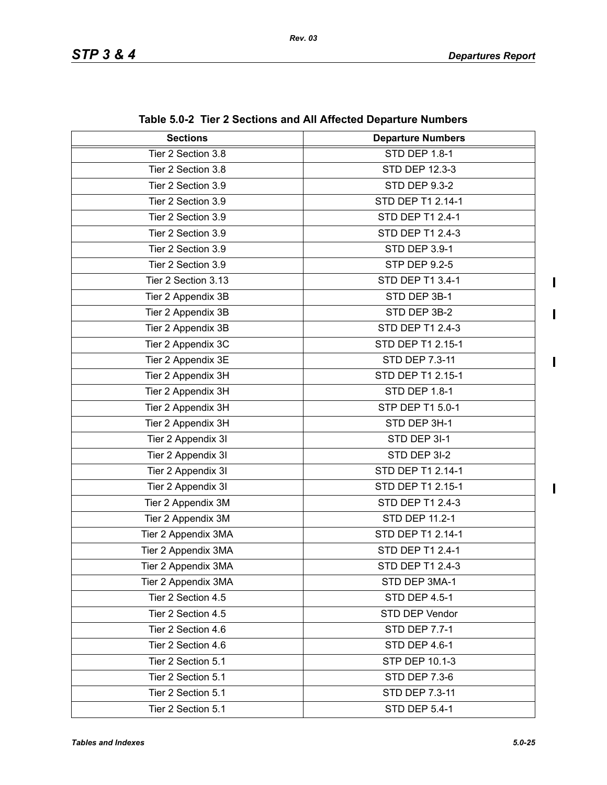$\blacksquare$ 

 $\mathbf{I}$ 

| <b>Sections</b>     | <b>Departure Numbers</b> |
|---------------------|--------------------------|
| Tier 2 Section 3.8  | <b>STD DEP 1.8-1</b>     |
| Tier 2 Section 3.8  | STD DEP 12.3-3           |
| Tier 2 Section 3.9  | <b>STD DEP 9.3-2</b>     |
| Tier 2 Section 3.9  | STD DEP T1 2.14-1        |
| Tier 2 Section 3.9  | STD DEP T1 2.4-1         |
| Tier 2 Section 3.9  | STD DEP T1 2.4-3         |
| Tier 2 Section 3.9  | STD DEP 3.9-1            |
| Tier 2 Section 3.9  | <b>STP DEP 9.2-5</b>     |
| Tier 2 Section 3.13 | STD DEP T1 3.4-1         |
| Tier 2 Appendix 3B  | STD DEP 3B-1             |
| Tier 2 Appendix 3B  | STD DEP 3B-2             |
| Tier 2 Appendix 3B  | STD DEP T1 2.4-3         |
| Tier 2 Appendix 3C  | STD DEP T1 2.15-1        |
| Tier 2 Appendix 3E  | STD DEP 7.3-11           |
| Tier 2 Appendix 3H  | STD DEP T1 2.15-1        |
| Tier 2 Appendix 3H  | STD DEP 1.8-1            |
| Tier 2 Appendix 3H  | STP DEP T1 5.0-1         |
| Tier 2 Appendix 3H  | STD DEP 3H-1             |
| Tier 2 Appendix 3I  | STD DEP 3I-1             |
| Tier 2 Appendix 3I  | STD DEP 3I-2             |
| Tier 2 Appendix 3I  | STD DEP T1 2.14-1        |
| Tier 2 Appendix 3I  | STD DEP T1 2.15-1        |
| Tier 2 Appendix 3M  | STD DEP T1 2.4-3         |
| Tier 2 Appendix 3M  | STD DEP 11.2-1           |
| Tier 2 Appendix 3MA | STD DEP T1 2.14-1        |
| Tier 2 Appendix 3MA | STD DEP T1 2.4-1         |
| Tier 2 Appendix 3MA | STD DEP T1 2.4-3         |
| Tier 2 Appendix 3MA | STD DEP 3MA-1            |
| Tier 2 Section 4.5  | STD DEP 4.5-1            |
| Tier 2 Section 4.5  | STD DEP Vendor           |
| Tier 2 Section 4.6  | <b>STD DEP 7.7-1</b>     |
| Tier 2 Section 4.6  | STD DEP 4.6-1            |
| Tier 2 Section 5.1  | STP DEP 10.1-3           |
| Tier 2 Section 5.1  | <b>STD DEP 7.3-6</b>     |
| Tier 2 Section 5.1  | STD DEP 7.3-11           |
| Tier 2 Section 5.1  | <b>STD DEP 5.4-1</b>     |

**Table 5.0-2 Tier 2 Sections and All Affected Departure Numbers**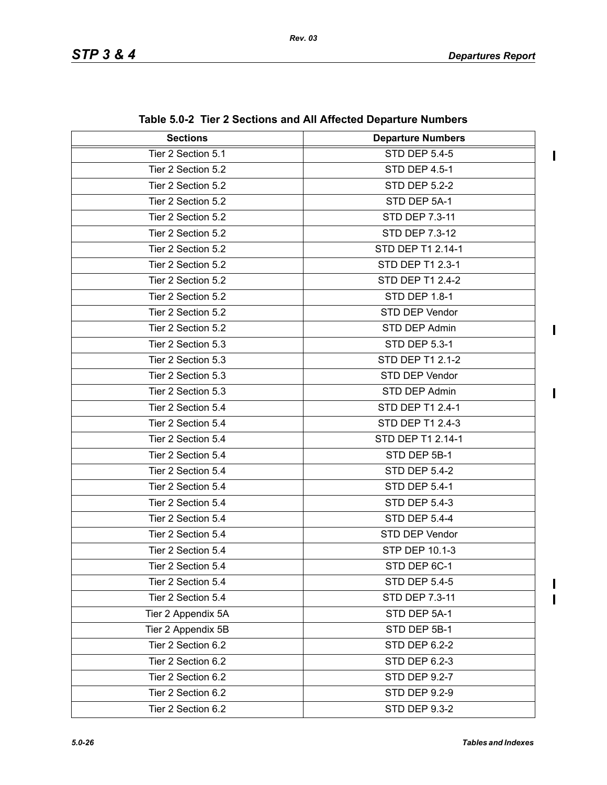$\blacksquare$ 

 $\overline{\phantom{a}}$ 

 $\begin{array}{c} \hline \end{array}$  $\overline{\mathbf{I}}$ 

| <b>Sections</b>    | <b>Departure Numbers</b> |
|--------------------|--------------------------|
| Tier 2 Section 5.1 | <b>STD DEP 5.4-5</b>     |
| Tier 2 Section 5.2 | <b>STD DEP 4.5-1</b>     |
| Tier 2 Section 5.2 | <b>STD DEP 5.2-2</b>     |
| Tier 2 Section 5.2 | STD DEP 5A-1             |
| Tier 2 Section 5.2 | STD DEP 7.3-11           |
| Tier 2 Section 5.2 | <b>STD DEP 7.3-12</b>    |
| Tier 2 Section 5.2 | STD DEP T1 2.14-1        |
| Tier 2 Section 5.2 | STD DEP T1 2.3-1         |
| Tier 2 Section 5.2 | STD DEP T1 2.4-2         |
| Tier 2 Section 5.2 | STD DEP 1.8-1            |
| Tier 2 Section 5.2 | STD DEP Vendor           |
| Tier 2 Section 5.2 | STD DEP Admin            |
| Tier 2 Section 5.3 | STD DEP 5.3-1            |
| Tier 2 Section 5.3 | STD DEP T1 2.1-2         |
| Tier 2 Section 5.3 | STD DEP Vendor           |
| Tier 2 Section 5.3 | STD DEP Admin            |
| Tier 2 Section 5.4 | STD DEP T1 2.4-1         |
| Tier 2 Section 5.4 | STD DEP T1 2.4-3         |
| Tier 2 Section 5.4 | STD DEP T1 2.14-1        |
| Tier 2 Section 5.4 | STD DEP 5B-1             |
| Tier 2 Section 5.4 | <b>STD DEP 5.4-2</b>     |
| Tier 2 Section 5.4 | <b>STD DEP 5.4-1</b>     |
| Tier 2 Section 5.4 | <b>STD DEP 5.4-3</b>     |
| Tier 2 Section 5.4 | <b>STD DEP 5.4-4</b>     |
| Tier 2 Section 5.4 | STD DEP Vendor           |
| Tier 2 Section 5.4 | STP DEP 10.1-3           |
| Tier 2 Section 5.4 | STD DEP 6C-1             |
| Tier 2 Section 5.4 | <b>STD DEP 5.4-5</b>     |
| Tier 2 Section 5.4 | STD DEP 7.3-11           |
| Tier 2 Appendix 5A | STD DEP 5A-1             |
| Tier 2 Appendix 5B | STD DEP 5B-1             |
| Tier 2 Section 6.2 | STD DEP 6.2-2            |
| Tier 2 Section 6.2 | STD DEP 6.2-3            |
| Tier 2 Section 6.2 | STD DEP 9.2-7            |
| Tier 2 Section 6.2 | <b>STD DEP 9.2-9</b>     |
| Tier 2 Section 6.2 | <b>STD DEP 9.3-2</b>     |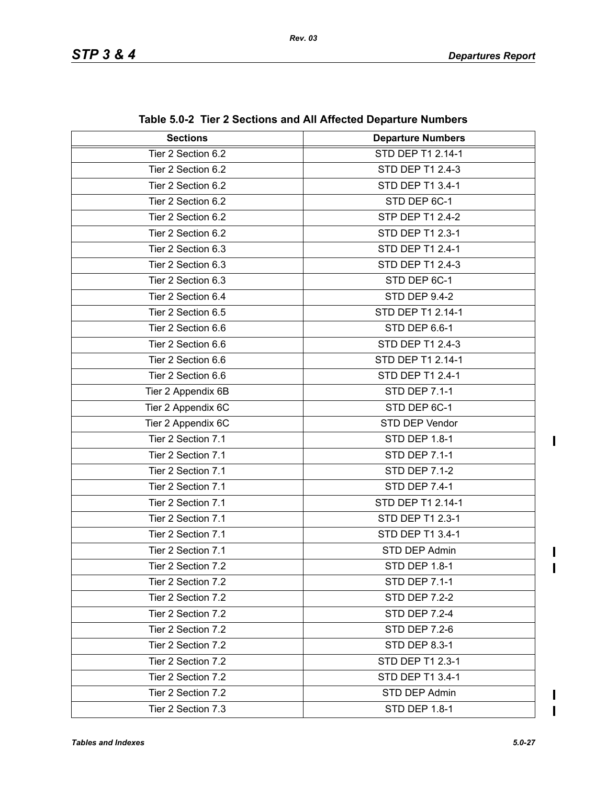| $\frac{1}{2}$ and $\frac{1}{2}$ and $\frac{1}{2}$ because and All Allected Departure Numbers |                          |
|----------------------------------------------------------------------------------------------|--------------------------|
| <b>Sections</b>                                                                              | <b>Departure Numbers</b> |
| Tier 2 Section 6.2                                                                           | STD DEP T1 2.14-1        |
| Tier 2 Section 6.2                                                                           | STD DEP T1 2.4-3         |
| Tier 2 Section 6.2                                                                           | STD DEP T1 3.4-1         |
| Tier 2 Section 6.2                                                                           | STD DEP 6C-1             |
| Tier 2 Section 6.2                                                                           | STP DEP T1 2.4-2         |
| Tier 2 Section 6.2                                                                           | STD DEP T1 2.3-1         |
| Tier 2 Section 6.3                                                                           | STD DEP T1 2.4-1         |
| Tier 2 Section 6.3                                                                           | STD DEP T1 2.4-3         |
| Tier 2 Section 6.3                                                                           | STD DEP 6C-1             |
| Tier 2 Section 6.4                                                                           | <b>STD DEP 9.4-2</b>     |
| Tier 2 Section 6.5                                                                           | STD DEP T1 2.14-1        |
| Tier 2 Section 6.6                                                                           | STD DEP 6.6-1            |
| Tier 2 Section 6.6                                                                           | STD DEP T1 2.4-3         |
| Tier 2 Section 6.6                                                                           | STD DEP T1 2.14-1        |
| Tier 2 Section 6.6                                                                           | STD DEP T1 2.4-1         |
| Tier 2 Appendix 6B                                                                           | <b>STD DEP 7.1-1</b>     |
| Tier 2 Appendix 6C                                                                           | STD DEP 6C-1             |
| Tier 2 Appendix 6C                                                                           | STD DEP Vendor           |
| Tier 2 Section 7.1                                                                           | <b>STD DEP 1.8-1</b>     |
| Tier 2 Section 7.1                                                                           | <b>STD DEP 7.1-1</b>     |
| Tier 2 Section 7.1                                                                           | <b>STD DEP 7.1-2</b>     |
| Tier 2 Section 7.1                                                                           | <b>STD DEP 7.4-1</b>     |
| Tier 2 Section 7.1                                                                           | STD DEP T1 2.14-1        |
| Tier 2 Section 7.1                                                                           | STD DEP T1 2.3-1         |
| Tier 2 Section 7.1                                                                           | STD DEP T1 3.4-1         |
| Tier 2 Section 7.1                                                                           | STD DEP Admin            |
| Tier 2 Section 7.2                                                                           | <b>STD DEP 1.8-1</b>     |
| Tier 2 Section 7.2                                                                           | <b>STD DEP 7.1-1</b>     |
| Tier 2 Section 7.2                                                                           | <b>STD DEP 7.2-2</b>     |
| Tier 2 Section 7.2                                                                           | <b>STD DEP 7.2-4</b>     |
| Tier 2 Section 7.2                                                                           | <b>STD DEP 7.2-6</b>     |
| Tier 2 Section 7.2                                                                           | STD DEP 8.3-1            |
| Tier 2 Section 7.2                                                                           | STD DEP T1 2.3-1         |
| Tier 2 Section 7.2                                                                           | STD DEP T1 3.4-1         |
| Tier 2 Section 7.2                                                                           | STD DEP Admin            |
| Tier 2 Section 7.3                                                                           | STD DEP 1.8-1            |

**Table 5.0-2 Tier 2 Sections and All Affected Departure Numbers**

 $\mathbf I$  $\mathbf{I}$ 

 $\blacksquare$  $\overline{\mathbf{I}}$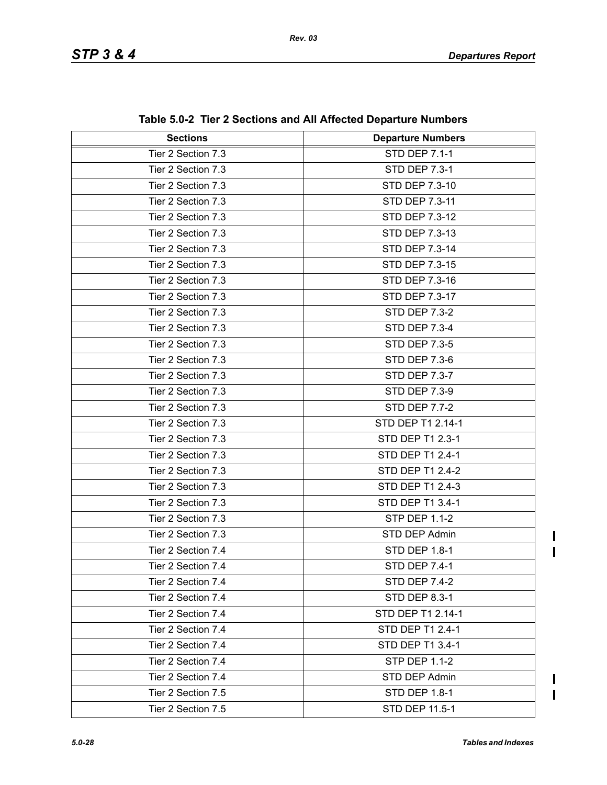| <b>Sections</b>    | adio 0.0 $\sim$ 1101 $\epsilon$ 0.000010113 and An Anobiota Dopartare Nambors<br><b>Departure Numbers</b> |
|--------------------|-----------------------------------------------------------------------------------------------------------|
| Tier 2 Section 7.3 | <b>STD DEP 7.1-1</b>                                                                                      |
| Tier 2 Section 7.3 | <b>STD DEP 7.3-1</b>                                                                                      |
| Tier 2 Section 7.3 | STD DEP 7.3-10                                                                                            |
| Tier 2 Section 7.3 | STD DEP 7.3-11                                                                                            |
|                    |                                                                                                           |
| Tier 2 Section 7.3 | STD DEP 7.3-12                                                                                            |
| Tier 2 Section 7.3 | STD DEP 7.3-13                                                                                            |
| Tier 2 Section 7.3 | STD DEP 7.3-14                                                                                            |
| Tier 2 Section 7.3 | STD DEP 7.3-15                                                                                            |
| Tier 2 Section 7.3 | STD DEP 7.3-16                                                                                            |
| Tier 2 Section 7.3 | STD DEP 7.3-17                                                                                            |
| Tier 2 Section 7.3 | <b>STD DEP 7.3-2</b>                                                                                      |
| Tier 2 Section 7.3 | <b>STD DEP 7.3-4</b>                                                                                      |
| Tier 2 Section 7.3 | <b>STD DEP 7.3-5</b>                                                                                      |
| Tier 2 Section 7.3 | <b>STD DEP 7.3-6</b>                                                                                      |
| Tier 2 Section 7.3 | <b>STD DEP 7.3-7</b>                                                                                      |
| Tier 2 Section 7.3 | <b>STD DEP 7.3-9</b>                                                                                      |
| Tier 2 Section 7.3 | <b>STD DEP 7.7-2</b>                                                                                      |
| Tier 2 Section 7.3 | STD DEP T1 2.14-1                                                                                         |
| Tier 2 Section 7.3 | STD DEP T1 2.3-1                                                                                          |
| Tier 2 Section 7.3 | STD DEP T1 2.4-1                                                                                          |
| Tier 2 Section 7.3 | STD DEP T1 2.4-2                                                                                          |
| Tier 2 Section 7.3 | STD DEP T1 2.4-3                                                                                          |
| Tier 2 Section 7.3 | STD DEP T1 3.4-1                                                                                          |
| Tier 2 Section 7.3 | <b>STP DEP 1.1-2</b>                                                                                      |
| Tier 2 Section 7.3 | STD DEP Admin                                                                                             |
| Tier 2 Section 7.4 | <b>STD DEP 1.8-1</b>                                                                                      |
| Tier 2 Section 7.4 | <b>STD DEP 7.4-1</b>                                                                                      |
| Tier 2 Section 7.4 | STD DEP 7.4-2                                                                                             |
| Tier 2 Section 7.4 | <b>STD DEP 8.3-1</b>                                                                                      |
| Tier 2 Section 7.4 | STD DEP T1 2.14-1                                                                                         |
| Tier 2 Section 7.4 | STD DEP T1 2.4-1                                                                                          |
| Tier 2 Section 7.4 | STD DEP T1 3.4-1                                                                                          |
| Tier 2 Section 7.4 | <b>STP DEP 1.1-2</b>                                                                                      |
| Tier 2 Section 7.4 | STD DEP Admin                                                                                             |
| Tier 2 Section 7.5 | <b>STD DEP 1.8-1</b>                                                                                      |
| Tier 2 Section 7.5 | STD DEP 11.5-1                                                                                            |

**Table 5.0-2 Tier 2 Sections and All Affected Departure Numbers**

 $\blacksquare$  $\blacksquare$ 

 $\mathbf I$  $\overline{\mathbf{I}}$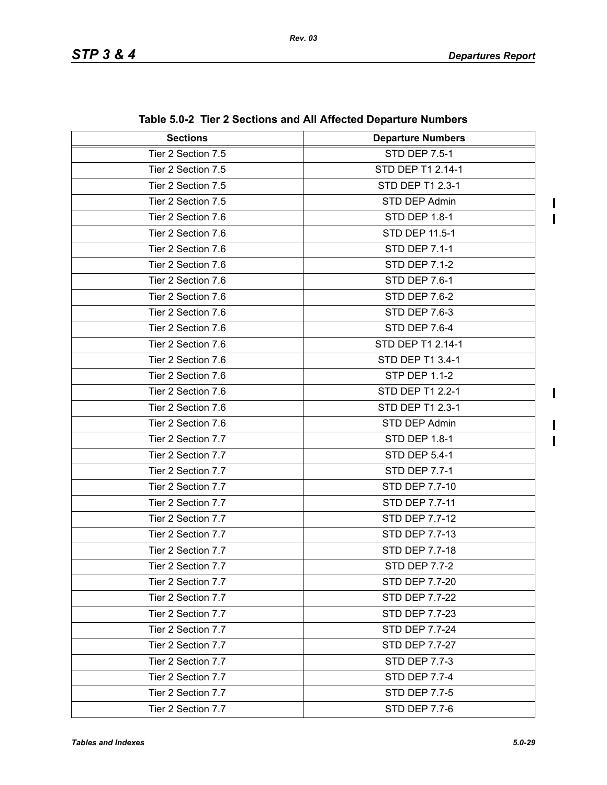$\blacksquare$  $\mathbf{I}$ 

 $\blacksquare$ 

 $\mathbf I$  $\mathbf{I}$ 

| <b>Sections</b>    | <b>Departure Numbers</b> |
|--------------------|--------------------------|
| Tier 2 Section 7.5 | <b>STD DEP 7.5-1</b>     |
| Tier 2 Section 7.5 | STD DEP T1 2.14-1        |
| Tier 2 Section 7.5 | STD DEP T1 2.3-1         |
| Tier 2 Section 7.5 | STD DEP Admin            |
| Tier 2 Section 7.6 | <b>STD DEP 1.8-1</b>     |
| Tier 2 Section 7.6 | STD DEP 11.5-1           |
| Tier 2 Section 7.6 | <b>STD DEP 7.1-1</b>     |
| Tier 2 Section 7.6 | <b>STD DEP 7.1-2</b>     |
| Tier 2 Section 7.6 | <b>STD DEP 7.6-1</b>     |
| Tier 2 Section 7.6 | STD DEP 7.6-2            |
| Tier 2 Section 7.6 | <b>STD DEP 7.6-3</b>     |
| Tier 2 Section 7.6 | STD DEP 7.6-4            |
| Tier 2 Section 7.6 | STD DEP T1 2.14-1        |
| Tier 2 Section 7.6 | STD DEP T1 3.4-1         |
| Tier 2 Section 7.6 | <b>STP DEP 1.1-2</b>     |
| Tier 2 Section 7.6 | STD DEP T1 2.2-1         |
| Tier 2 Section 7.6 | STD DEP T1 2.3-1         |
| Tier 2 Section 7.6 | STD DEP Admin            |
| Tier 2 Section 7.7 | <b>STD DEP 1.8-1</b>     |
| Tier 2 Section 7.7 | <b>STD DEP 5.4-1</b>     |
| Tier 2 Section 7.7 | <b>STD DEP 7.7-1</b>     |
| Tier 2 Section 7.7 | STD DEP 7.7-10           |
| Tier 2 Section 7.7 | STD DEP 7.7-11           |
| Tier 2 Section 7.7 | STD DEP 7.7-12           |
| Tier 2 Section 7.7 | STD DEP 7.7-13           |
| Tier 2 Section 7.7 | <b>STD DEP 7.7-18</b>    |
| Tier 2 Section 7.7 | <b>STD DEP 7.7-2</b>     |
| Tier 2 Section 7.7 | STD DEP 7.7-20           |
| Tier 2 Section 7.7 | STD DEP 7.7-22           |
| Tier 2 Section 7.7 | STD DEP 7.7-23           |
| Tier 2 Section 7.7 | <b>STD DEP 7.7-24</b>    |
| Tier 2 Section 7.7 | STD DEP 7.7-27           |
| Tier 2 Section 7.7 | <b>STD DEP 7.7-3</b>     |
| Tier 2 Section 7.7 | <b>STD DEP 7.7-4</b>     |
| Tier 2 Section 7.7 | <b>STD DEP 7.7-5</b>     |
| Tier 2 Section 7.7 | <b>STD DEP 7.7-6</b>     |

**Table 5.0-2 Tier 2 Sections and All Affected Departure Numbers**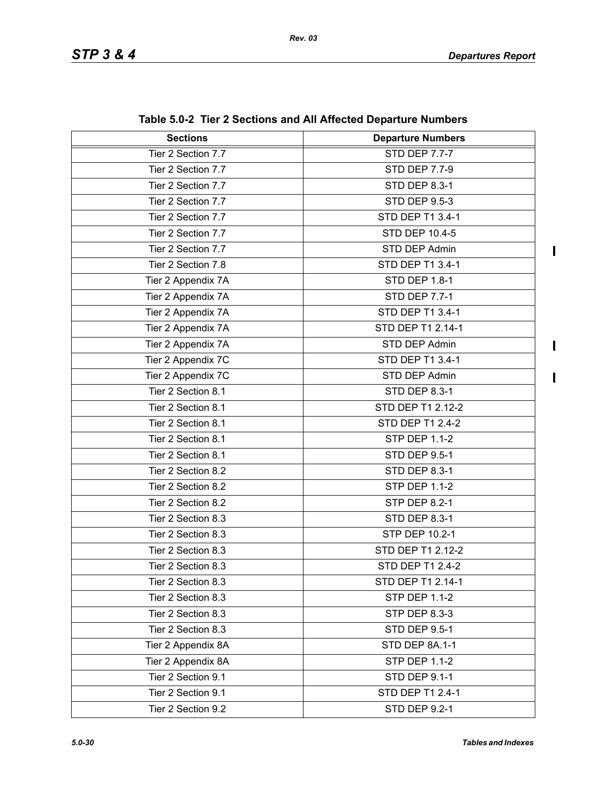$\overline{\mathbf{I}}$ 

 $\mathbf{I}$ 

| <b>Sections</b>    | $\frac{1}{2}$ and $\frac{1}{2}$ becausing and the throughout began target and the set<br><b>Departure Numbers</b> |
|--------------------|-------------------------------------------------------------------------------------------------------------------|
| Tier 2 Section 7.7 | <b>STD DEP 7.7-7</b>                                                                                              |
| Tier 2 Section 7.7 | <b>STD DEP 7.7-9</b>                                                                                              |
| Tier 2 Section 7.7 | <b>STD DEP 8.3-1</b>                                                                                              |
| Tier 2 Section 7.7 | <b>STD DEP 9.5-3</b>                                                                                              |
| Tier 2 Section 7.7 | STD DEP T1 3.4-1                                                                                                  |
| Tier 2 Section 7.7 | <b>STD DEP 10.4-5</b>                                                                                             |
| Tier 2 Section 7.7 | STD DEP Admin                                                                                                     |
| Tier 2 Section 7.8 | STD DEP T1 3.4-1                                                                                                  |
| Tier 2 Appendix 7A | <b>STD DEP 1.8-1</b>                                                                                              |
| Tier 2 Appendix 7A | <b>STD DEP 7.7-1</b>                                                                                              |
| Tier 2 Appendix 7A | STD DEP T1 3.4-1                                                                                                  |
| Tier 2 Appendix 7A | STD DEP T1 2.14-1                                                                                                 |
| Tier 2 Appendix 7A | STD DEP Admin                                                                                                     |
| Tier 2 Appendix 7C | STD DEP T1 3.4-1                                                                                                  |
| Tier 2 Appendix 7C | STD DEP Admin                                                                                                     |
| Tier 2 Section 8.1 | <b>STD DEP 8.3-1</b>                                                                                              |
| Tier 2 Section 8.1 | STD DEP T1 2.12-2                                                                                                 |
| Tier 2 Section 8.1 | STD DEP T1 2.4-2                                                                                                  |
| Tier 2 Section 8.1 | <b>STP DEP 1.1-2</b>                                                                                              |
| Tier 2 Section 8.1 | <b>STD DEP 9.5-1</b>                                                                                              |
| Tier 2 Section 8.2 | <b>STD DEP 8.3-1</b>                                                                                              |
| Tier 2 Section 8.2 | <b>STP DEP 1.1-2</b>                                                                                              |
| Tier 2 Section 8.2 | <b>STP DEP 8.2-1</b>                                                                                              |
| Tier 2 Section 8.3 | <b>STD DEP 8.3-1</b>                                                                                              |
| Tier 2 Section 8.3 | STP DEP 10.2-1                                                                                                    |
| Tier 2 Section 8.3 | STD DEP T1 2.12-2                                                                                                 |
| Tier 2 Section 8.3 | STD DEP T1 2.4-2                                                                                                  |
| Tier 2 Section 8.3 | STD DEP T1 2.14-1                                                                                                 |
| Tier 2 Section 8.3 | <b>STP DEP 1.1-2</b>                                                                                              |
| Tier 2 Section 8.3 | STP DEP 8.3-3                                                                                                     |
| Tier 2 Section 8.3 | <b>STD DEP 9.5-1</b>                                                                                              |
| Tier 2 Appendix 8A | STD DEP 8A.1-1                                                                                                    |
| Tier 2 Appendix 8A | <b>STP DEP 1.1-2</b>                                                                                              |
| Tier 2 Section 9.1 | <b>STD DEP 9.1-1</b>                                                                                              |
| Tier 2 Section 9.1 | STD DEP T1 2.4-1                                                                                                  |
| Tier 2 Section 9.2 | <b>STD DEP 9.2-1</b>                                                                                              |

**Table 5.0-2 Tier 2 Sections and All Affected Departure Numbers**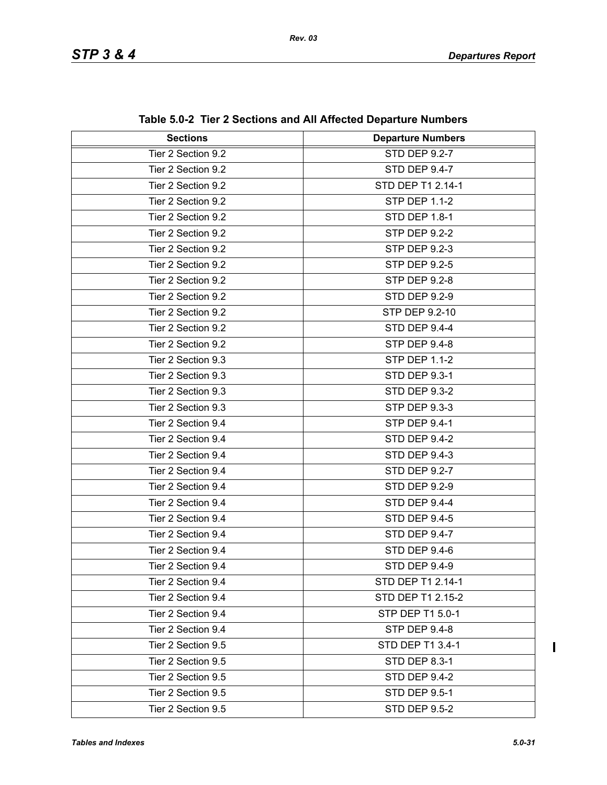| <b>Sections</b>    | <b>Departure Numbers</b> |
|--------------------|--------------------------|
| Tier 2 Section 9.2 | <b>STD DEP 9.2-7</b>     |
| Tier 2 Section 9.2 | STD DEP 9.4-7            |
| Tier 2 Section 9.2 | STD DEP T1 2.14-1        |
| Tier 2 Section 9.2 | <b>STP DEP 1.1-2</b>     |
| Tier 2 Section 9.2 | <b>STD DEP 1.8-1</b>     |
| Tier 2 Section 9.2 | <b>STP DEP 9.2-2</b>     |
| Tier 2 Section 9.2 | <b>STP DEP 9.2-3</b>     |
| Tier 2 Section 9.2 | <b>STP DEP 9.2-5</b>     |
| Tier 2 Section 9.2 | <b>STP DEP 9.2-8</b>     |
| Tier 2 Section 9.2 | <b>STD DEP 9.2-9</b>     |
| Tier 2 Section 9.2 | STP DEP 9.2-10           |
| Tier 2 Section 9.2 | <b>STD DEP 9.4-4</b>     |
| Tier 2 Section 9.2 | <b>STP DEP 9.4-8</b>     |
| Tier 2 Section 9.3 | <b>STP DEP 1.1-2</b>     |
| Tier 2 Section 9.3 | <b>STD DEP 9.3-1</b>     |
| Tier 2 Section 9.3 | <b>STD DEP 9.3-2</b>     |
| Tier 2 Section 9.3 | STP DEP 9.3-3            |
| Tier 2 Section 9.4 | <b>STP DEP 9.4-1</b>     |
| Tier 2 Section 9.4 | <b>STD DEP 9.4-2</b>     |
| Tier 2 Section 9.4 | <b>STD DEP 9.4-3</b>     |
| Tier 2 Section 9.4 | STD DEP 9.2-7            |
| Tier 2 Section 9.4 | <b>STD DEP 9.2-9</b>     |
| Tier 2 Section 9.4 | <b>STD DEP 9.4-4</b>     |
| Tier 2 Section 9.4 | <b>STD DEP 9.4-5</b>     |
| Tier 2 Section 9.4 | STD DEP 9.4-7            |
| Tier 2 Section 9.4 | STD DEP 9.4-6            |
| Tier 2 Section 9.4 | STD DEP 9.4-9            |
| Tier 2 Section 9.4 | STD DEP T1 2.14-1        |
| Tier 2 Section 9.4 | STD DEP T1 2.15-2        |
| Tier 2 Section 9.4 | STP DEP T1 5.0-1         |
| Tier 2 Section 9.4 | <b>STP DEP 9.4-8</b>     |
| Tier 2 Section 9.5 | STD DEP T1 3.4-1         |
| Tier 2 Section 9.5 | <b>STD DEP 8.3-1</b>     |
| Tier 2 Section 9.5 | STD DEP 9.4-2            |
| Tier 2 Section 9.5 | <b>STD DEP 9.5-1</b>     |
| Tier 2 Section 9.5 | <b>STD DEP 9.5-2</b>     |

**Table 5.0-2 Tier 2 Sections and All Affected Departure Numbers**

 $\mathbf I$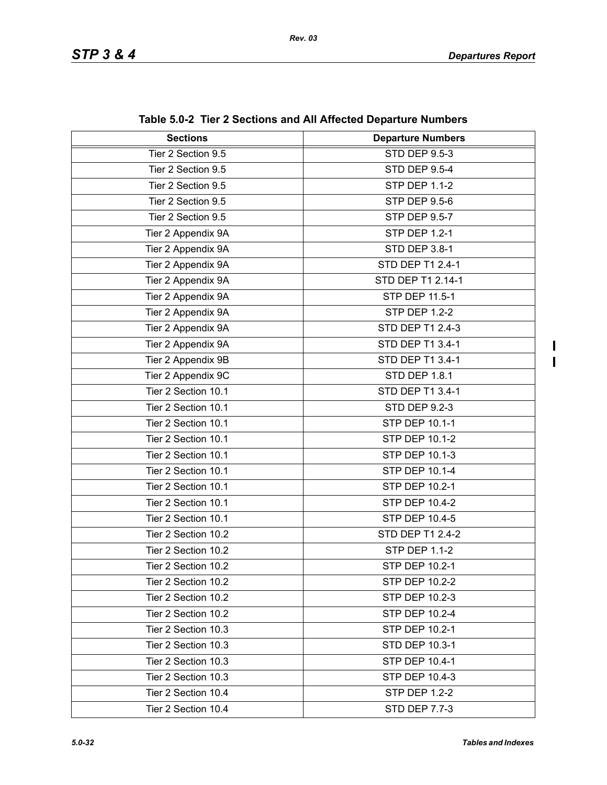$\blacksquare$  $\mathbf{I}$ 

| <b>Sections</b>     | 0.0 - The E Occupito and All Anceted Departal Frampels<br><b>Departure Numbers</b> |
|---------------------|------------------------------------------------------------------------------------|
| Tier 2 Section 9.5  | <b>STD DEP 9.5-3</b>                                                               |
| Tier 2 Section 9.5  | <b>STD DEP 9.5-4</b>                                                               |
| Tier 2 Section 9.5  | <b>STP DEP 1.1-2</b>                                                               |
| Tier 2 Section 9.5  | <b>STP DEP 9.5-6</b>                                                               |
| Tier 2 Section 9.5  | <b>STP DEP 9.5-7</b>                                                               |
| Tier 2 Appendix 9A  | STP DEP 1.2-1                                                                      |
| Tier 2 Appendix 9A  | STD DEP 3.8-1                                                                      |
| Tier 2 Appendix 9A  | STD DEP T1 2.4-1                                                                   |
| Tier 2 Appendix 9A  | STD DEP T1 2.14-1                                                                  |
| Tier 2 Appendix 9A  | STP DEP 11.5-1                                                                     |
| Tier 2 Appendix 9A  | <b>STP DEP 1.2-2</b>                                                               |
| Tier 2 Appendix 9A  | STD DEP T1 2.4-3                                                                   |
| Tier 2 Appendix 9A  | STD DEP T1 3.4-1                                                                   |
| Tier 2 Appendix 9B  | STD DEP T1 3.4-1                                                                   |
|                     | <b>STD DEP 1.8.1</b>                                                               |
| Tier 2 Appendix 9C  | STD DEP T1 3.4-1                                                                   |
| Tier 2 Section 10.1 |                                                                                    |
| Tier 2 Section 10.1 | <b>STD DEP 9.2-3</b>                                                               |
| Tier 2 Section 10.1 | STP DEP 10.1-1                                                                     |
| Tier 2 Section 10.1 | <b>STP DEP 10.1-2</b>                                                              |
| Tier 2 Section 10.1 | STP DEP 10.1-3                                                                     |
| Tier 2 Section 10.1 | STP DEP 10.1-4                                                                     |
| Tier 2 Section 10.1 | STP DEP 10.2-1                                                                     |
| Tier 2 Section 10.1 | STP DEP 10.4-2                                                                     |
| Tier 2 Section 10.1 | STP DEP 10.4-5                                                                     |
| Tier 2 Section 10.2 | STD DEP T1 2.4-2                                                                   |
| Tier 2 Section 10.2 | <b>STP DEP 1.1-2</b>                                                               |
| Tier 2 Section 10.2 | STP DEP 10.2-1                                                                     |
| Tier 2 Section 10.2 | STP DEP 10.2-2                                                                     |
| Tier 2 Section 10.2 | STP DEP 10.2-3                                                                     |
| Tier 2 Section 10.2 | STP DEP 10.2-4                                                                     |
| Tier 2 Section 10.3 | STP DEP 10.2-1                                                                     |
| Tier 2 Section 10.3 | <b>STD DEP 10.3-1</b>                                                              |
| Tier 2 Section 10.3 | STP DEP 10.4-1                                                                     |
| Tier 2 Section 10.3 | STP DEP 10.4-3                                                                     |
| Tier 2 Section 10.4 | <b>STP DEP 1.2-2</b>                                                               |
| Tier 2 Section 10.4 | <b>STD DEP 7.7-3</b>                                                               |

**Table 5.0-2 Tier 2 Sections and All Affected Departure Numbers**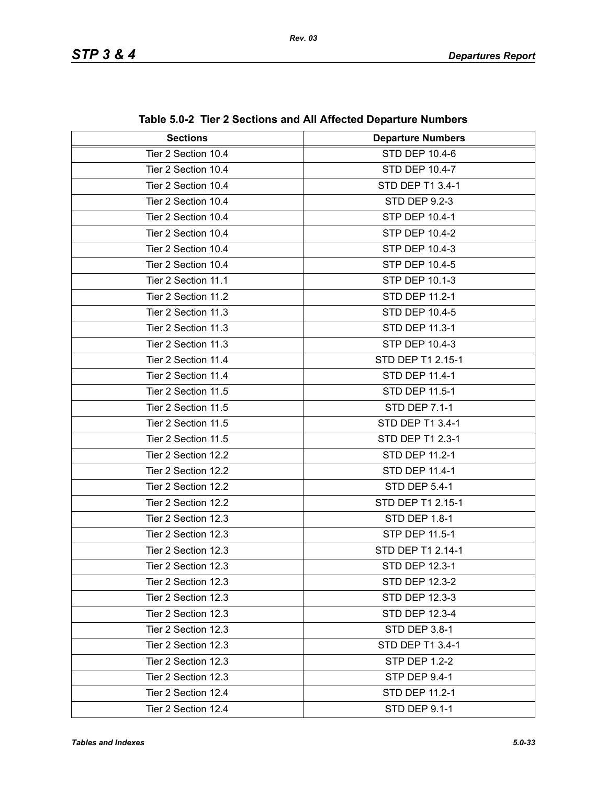| <b>Sections</b>     | <b>Departure Numbers</b> |
|---------------------|--------------------------|
| Tier 2 Section 10.4 | <b>STD DEP 10.4-6</b>    |
| Tier 2 Section 10.4 | STD DEP 10.4-7           |
| Tier 2 Section 10.4 | STD DEP T1 3.4-1         |
| Tier 2 Section 10.4 | STD DEP 9.2-3            |
| Tier 2 Section 10.4 | <b>STP DEP 10.4-1</b>    |
| Tier 2 Section 10.4 | <b>STP DEP 10.4-2</b>    |
| Tier 2 Section 10.4 | <b>STP DEP 10.4-3</b>    |
| Tier 2 Section 10.4 | <b>STP DEP 10.4-5</b>    |
| Tier 2 Section 11.1 | <b>STP DEP 10.1-3</b>    |
| Tier 2 Section 11.2 | STD DEP 11.2-1           |
| Tier 2 Section 11.3 | STD DEP 10.4-5           |
| Tier 2 Section 11.3 | <b>STD DEP 11.3-1</b>    |
| Tier 2 Section 11.3 | <b>STP DEP 10.4-3</b>    |
| Tier 2 Section 11.4 | STD DEP T1 2.15-1        |
| Tier 2 Section 11.4 | <b>STD DEP 11.4-1</b>    |
| Tier 2 Section 11.5 | STD DEP 11.5-1           |
| Tier 2 Section 11.5 | <b>STD DEP 7.1-1</b>     |
| Tier 2 Section 11.5 | STD DEP T1 3.4-1         |
| Tier 2 Section 11.5 | STD DEP T1 2.3-1         |
| Tier 2 Section 12.2 | STD DEP 11.2-1           |
| Tier 2 Section 12.2 | STD DEP 11.4-1           |
| Tier 2 Section 12.2 | STD DEP 5.4-1            |
| Tier 2 Section 12.2 | STD DEP T1 2.15-1        |
| Tier 2 Section 12.3 | STD DEP 1.8-1            |
| Tier 2 Section 12.3 | STP DEP 11.5-1           |
| Tier 2 Section 12.3 | STD DEP T1 2.14-1        |
| Tier 2 Section 12.3 | STD DEP 12.3-1           |
| Tier 2 Section 12.3 | STD DEP 12.3-2           |
| Tier 2 Section 12.3 | STD DEP 12.3-3           |
| Tier 2 Section 12.3 | <b>STD DEP 12.3-4</b>    |
| Tier 2 Section 12.3 | STD DEP 3.8-1            |
| Tier 2 Section 12.3 | STD DEP T1 3.4-1         |
| Tier 2 Section 12.3 | <b>STP DEP 1.2-2</b>     |
| Tier 2 Section 12.3 | <b>STP DEP 9.4-1</b>     |
| Tier 2 Section 12.4 | STD DEP 11.2-1           |
| Tier 2 Section 12.4 | STD DEP 9.1-1            |

**Table 5.0-2 Tier 2 Sections and All Affected Departure Numbers**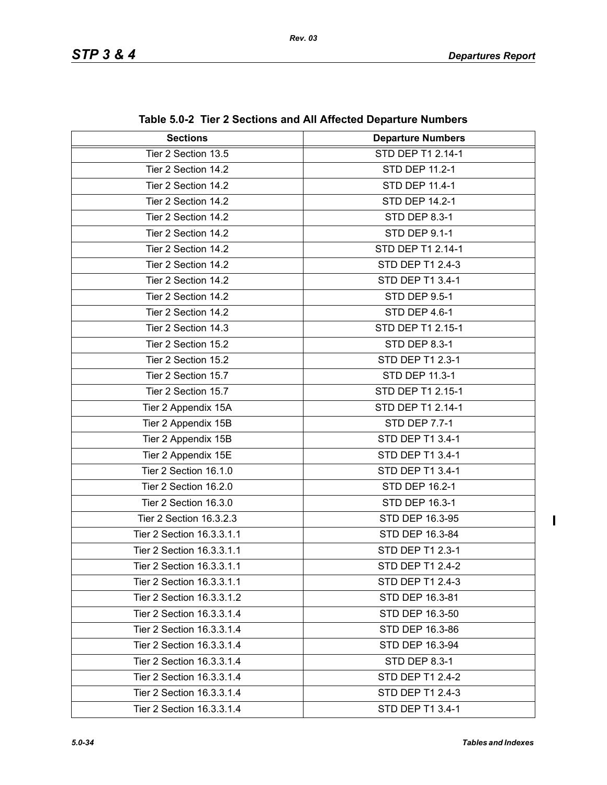| <b>Sections</b>           | <b>Departure Numbers</b> |
|---------------------------|--------------------------|
| Tier 2 Section 13.5       | STD DEP T1 2.14-1        |
| Tier 2 Section 14.2       | STD DEP 11.2-1           |
| Tier 2 Section 14.2       | STD DEP 11.4-1           |
| Tier 2 Section 14.2       | STD DEP 14.2-1           |
| Tier 2 Section 14.2       | STD DEP 8.3-1            |
| Tier 2 Section 14.2       | STD DEP 9.1-1            |
| Tier 2 Section 14.2       | STD DEP T1 2.14-1        |
| Tier 2 Section 14.2       | STD DEP T1 2.4-3         |
| Tier 2 Section 14.2       | STD DEP T1 3.4-1         |
| Tier 2 Section 14.2       | <b>STD DEP 9.5-1</b>     |
| Tier 2 Section 14.2       | STD DEP 4.6-1            |
| Tier 2 Section 14.3       | STD DEP T1 2.15-1        |
| Tier 2 Section 15.2       | <b>STD DEP 8.3-1</b>     |
| Tier 2 Section 15.2       | STD DEP T1 2.3-1         |
| Tier 2 Section 15.7       | STD DEP 11.3-1           |
| Tier 2 Section 15.7       | STD DEP T1 2.15-1        |
| Tier 2 Appendix 15A       | STD DEP T1 2.14-1        |
| Tier 2 Appendix 15B       | <b>STD DEP 7.7-1</b>     |
| Tier 2 Appendix 15B       | STD DEP T1 3.4-1         |
| Tier 2 Appendix 15E       | STD DEP T1 3.4-1         |
| Tier 2 Section 16.1.0     | STD DEP T1 3.4-1         |
| Tier 2 Section 16.2.0     | STD DEP 16.2-1           |
| Tier 2 Section 16.3.0     | STD DEP 16.3-1           |
| Tier 2 Section 16.3.2.3   | STD DEP 16.3-95          |
| Tier 2 Section 16.3.3.1.1 | STD DEP 16.3-84          |
| Tier 2 Section 16.3.3.1.1 | STD DEP T1 2.3-1         |
| Tier 2 Section 16.3.3.1.1 | STD DEP T1 2.4-2         |
| Tier 2 Section 16.3.3.1.1 | STD DEP T1 2.4-3         |
| Tier 2 Section 16.3.3.1.2 | STD DEP 16.3-81          |
| Tier 2 Section 16.3.3.1.4 | STD DEP 16.3-50          |
| Tier 2 Section 16.3.3.1.4 | STD DEP 16.3-86          |
| Tier 2 Section 16.3.3.1.4 | STD DEP 16.3-94          |
| Tier 2 Section 16.3.3.1.4 | STD DEP 8.3-1            |
| Tier 2 Section 16.3.3.1.4 | STD DEP T1 2.4-2         |
| Tier 2 Section 16.3.3.1.4 | STD DEP T1 2.4-3         |
| Tier 2 Section 16.3.3.1.4 | STD DEP T1 3.4-1         |

**Table 5.0-2 Tier 2 Sections and All Affected Departure Numbers**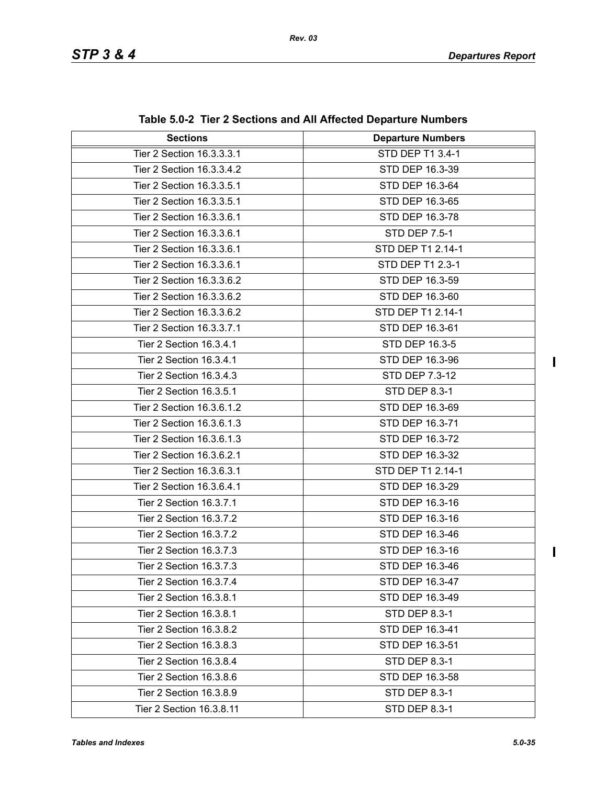| <b>Sections</b>           | <b>Departure Numbers</b> |
|---------------------------|--------------------------|
| Tier 2 Section 16.3.3.3.1 | STD DEP T1 3.4-1         |
| Tier 2 Section 16.3.3.4.2 | STD DEP 16.3-39          |
| Tier 2 Section 16.3.3.5.1 | STD DEP 16.3-64          |
| Tier 2 Section 16.3.3.5.1 | STD DEP 16.3-65          |
| Tier 2 Section 16.3.3.6.1 | STD DEP 16.3-78          |
| Tier 2 Section 16.3.3.6.1 | STD DEP 7.5-1            |
| Tier 2 Section 16.3.3.6.1 | STD DEP T1 2.14-1        |
| Tier 2 Section 16.3.3.6.1 | STD DEP T1 2.3-1         |
| Tier 2 Section 16.3.3.6.2 | STD DEP 16.3-59          |
| Tier 2 Section 16.3.3.6.2 | STD DEP 16.3-60          |
| Tier 2 Section 16.3.3.6.2 | STD DEP T1 2.14-1        |
| Tier 2 Section 16.3.3.7.1 | STD DEP 16.3-61          |
| Tier 2 Section 16.3.4.1   | STD DEP 16.3-5           |
| Tier 2 Section 16.3.4.1   | STD DEP 16.3-96          |
| Tier 2 Section 16.3.4.3   | STD DEP 7.3-12           |
| Tier 2 Section 16.3.5.1   | <b>STD DEP 8.3-1</b>     |
| Tier 2 Section 16.3.6.1.2 | STD DEP 16.3-69          |
| Tier 2 Section 16.3.6.1.3 | STD DEP 16.3-71          |
| Tier 2 Section 16.3.6.1.3 | STD DEP 16.3-72          |
| Tier 2 Section 16.3.6.2.1 | STD DEP 16.3-32          |
| Tier 2 Section 16.3.6.3.1 | STD DEP T1 2.14-1        |
| Tier 2 Section 16.3.6.4.1 | STD DEP 16.3-29          |
| Tier 2 Section 16.3.7.1   | STD DEP 16.3-16          |
| Tier 2 Section 16.3.7.2   | STD DEP 16.3-16          |
| Tier 2 Section 16.3.7.2   | STD DEP 16.3-46          |
| Tier 2 Section 16.3.7.3   | STD DEP 16.3-16          |
| Tier 2 Section 16.3.7.3   | STD DEP 16.3-46          |
| Tier 2 Section 16.3.7.4   | STD DEP 16.3-47          |
| Tier 2 Section 16.3.8.1   | STD DEP 16.3-49          |
| Tier 2 Section 16.3.8.1   | STD DEP 8.3-1            |
| Tier 2 Section 16.3.8.2   | STD DEP 16.3-41          |
| Tier 2 Section 16.3.8.3   | STD DEP 16.3-51          |
| Tier 2 Section 16.3.8.4   | STD DEP 8.3-1            |
| Tier 2 Section 16.3.8.6   | STD DEP 16.3-58          |
| Tier 2 Section 16.3.8.9   | <b>STD DEP 8.3-1</b>     |
| Tier 2 Section 16.3.8.11  | STD DEP 8.3-1            |

**Table 5.0-2 Tier 2 Sections and All Affected Departure Numbers**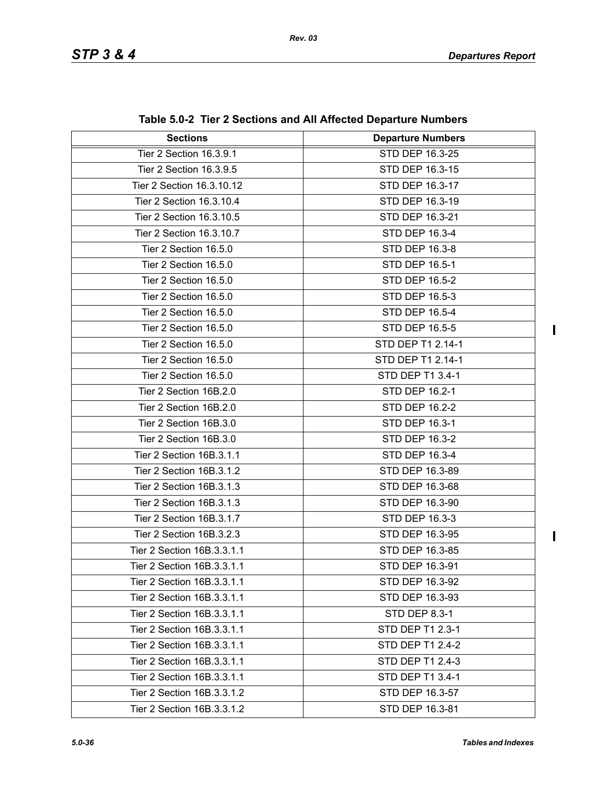| <b>Sections</b>            | <b>Departure Numbers</b> |
|----------------------------|--------------------------|
| Tier 2 Section 16.3.9.1    | STD DEP 16.3-25          |
| Tier 2 Section 16.3.9.5    | STD DEP 16.3-15          |
| Tier 2 Section 16.3.10.12  | STD DEP 16.3-17          |
| Tier 2 Section 16.3.10.4   | STD DEP 16.3-19          |
| Tier 2 Section 16.3.10.5   | STD DEP 16.3-21          |
| Tier 2 Section 16.3.10.7   | STD DEP 16.3-4           |
| Tier 2 Section 16.5.0      | STD DEP 16.3-8           |
| Tier 2 Section 16.5.0      | STD DEP 16.5-1           |
| Tier 2 Section 16.5.0      | <b>STD DEP 16.5-2</b>    |
| Tier 2 Section 16.5.0      | STD DEP 16.5-3           |
| Tier 2 Section 16.5.0      | <b>STD DEP 16.5-4</b>    |
| Tier 2 Section 16.5.0      | STD DEP 16.5-5           |
| Tier 2 Section 16.5.0      | STD DEP T1 2.14-1        |
| Tier 2 Section 16.5.0      | STD DEP T1 2.14-1        |
| Tier 2 Section 16.5.0      | STD DEP T1 3.4-1         |
| Tier 2 Section 16B.2.0     | STD DEP 16.2-1           |
| Tier 2 Section 16B.2.0     | <b>STD DEP 16.2-2</b>    |
| Tier 2 Section 16B.3.0     | STD DEP 16.3-1           |
| Tier 2 Section 16B.3.0     | STD DEP 16.3-2           |
| Tier 2 Section 16B.3.1.1   | <b>STD DEP 16.3-4</b>    |
| Tier 2 Section 16B.3.1.2   | STD DEP 16.3-89          |
| Tier 2 Section 16B.3.1.3   | STD DEP 16.3-68          |
| Tier 2 Section 16B.3.1.3   | STD DEP 16.3-90          |
| Tier 2 Section 16B.3.1.7   | STD DEP 16.3-3           |
| Tier 2 Section 16B.3.2.3   | STD DEP 16.3-95          |
| Tier 2 Section 16B.3.3.1.1 | STD DEP 16.3-85          |
| Tier 2 Section 16B.3.3.1.1 | STD DEP 16.3-91          |
| Tier 2 Section 16B.3.3.1.1 | STD DEP 16.3-92          |
| Tier 2 Section 16B.3.3.1.1 | STD DEP 16.3-93          |
| Tier 2 Section 16B.3.3.1.1 | STD DEP 8.3-1            |
| Tier 2 Section 16B.3.3.1.1 | STD DEP T1 2.3-1         |
| Tier 2 Section 16B.3.3.1.1 | STD DEP T1 2.4-2         |
| Tier 2 Section 16B.3.3.1.1 | STD DEP T1 2.4-3         |
| Tier 2 Section 16B.3.3.1.1 | STD DEP T1 3.4-1         |
| Tier 2 Section 16B.3.3.1.2 | STD DEP 16.3-57          |
| Tier 2 Section 16B.3.3.1.2 | STD DEP 16.3-81          |

**Table 5.0-2 Tier 2 Sections and All Affected Departure Numbers**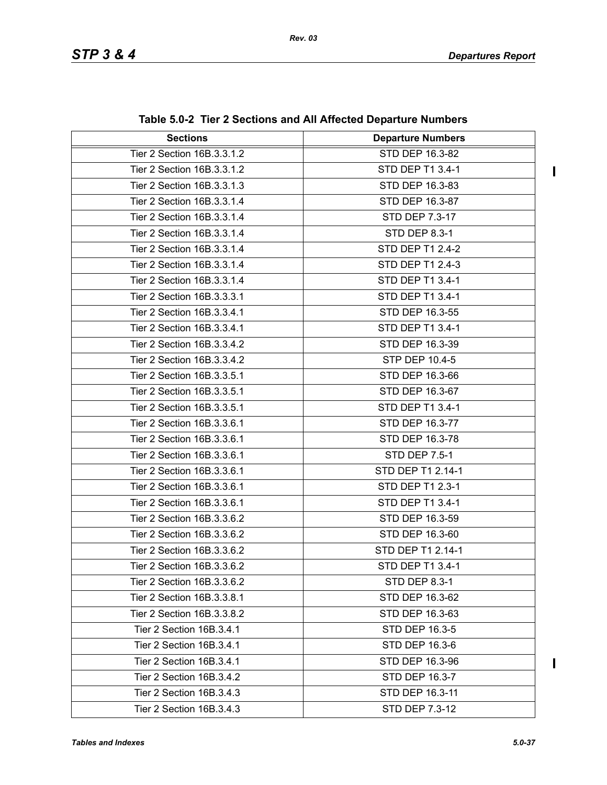$\begin{array}{c} \rule{0pt}{2.5ex} \rule{0pt}{2.5ex} \rule{0pt}{2.5ex} \rule{0pt}{2.5ex} \rule{0pt}{2.5ex} \rule{0pt}{2.5ex} \rule{0pt}{2.5ex} \rule{0pt}{2.5ex} \rule{0pt}{2.5ex} \rule{0pt}{2.5ex} \rule{0pt}{2.5ex} \rule{0pt}{2.5ex} \rule{0pt}{2.5ex} \rule{0pt}{2.5ex} \rule{0pt}{2.5ex} \rule{0pt}{2.5ex} \rule{0pt}{2.5ex} \rule{0pt}{2.5ex} \rule{0pt}{2.5ex} \rule{0$ 

| <b>Sections</b>            | <b>Departure Numbers</b> |
|----------------------------|--------------------------|
| Tier 2 Section 16B.3.3.1.2 | STD DEP 16.3-82          |
| Tier 2 Section 16B.3.3.1.2 | STD DEP T1 3.4-1         |
| Tier 2 Section 16B.3.3.1.3 | STD DEP 16.3-83          |
| Tier 2 Section 16B.3.3.1.4 | STD DEP 16.3-87          |
| Tier 2 Section 16B.3.3.1.4 | STD DEP 7.3-17           |
| Tier 2 Section 16B.3.3.1.4 | <b>STD DEP 8.3-1</b>     |
| Tier 2 Section 16B.3.3.1.4 | STD DEP T1 2.4-2         |
| Tier 2 Section 16B.3.3.1.4 | STD DEP T1 2.4-3         |
| Tier 2 Section 16B.3.3.1.4 | STD DEP T1 3.4-1         |
| Tier 2 Section 16B.3.3.3.1 | STD DEP T1 3.4-1         |
| Tier 2 Section 16B.3.3.4.1 | STD DEP 16.3-55          |
| Tier 2 Section 16B.3.3.4.1 | STD DEP T1 3.4-1         |
| Tier 2 Section 16B.3.3.4.2 | STD DEP 16.3-39          |
| Tier 2 Section 16B.3.3.4.2 | STP DEP 10.4-5           |
| Tier 2 Section 16B.3.3.5.1 | STD DEP 16.3-66          |
| Tier 2 Section 16B.3.3.5.1 | STD DEP 16.3-67          |
| Tier 2 Section 16B.3.3.5.1 | STD DEP T1 3.4-1         |
| Tier 2 Section 16B.3.3.6.1 | STD DEP 16.3-77          |
| Tier 2 Section 16B.3.3.6.1 | STD DEP 16.3-78          |
| Tier 2 Section 16B.3.3.6.1 | STD DEP 7.5-1            |
| Tier 2 Section 16B.3.3.6.1 | STD DEP T1 2.14-1        |
| Tier 2 Section 16B.3.3.6.1 | STD DEP T1 2.3-1         |
| Tier 2 Section 16B.3.3.6.1 | STD DEP T1 3.4-1         |
| Tier 2 Section 16B.3.3.6.2 | STD DEP 16.3-59          |
| Tier 2 Section 16B.3.3.6.2 | STD DEP 16.3-60          |
| Tier 2 Section 16B.3.3.6.2 | STD DEP T1 2.14-1        |
| Tier 2 Section 16B.3.3.6.2 | STD DEP T1 3.4-1         |
| Tier 2 Section 16B.3.3.6.2 | STD DEP 8.3-1            |
| Tier 2 Section 16B.3.3.8.1 | STD DEP 16.3-62          |
| Tier 2 Section 16B.3.3.8.2 | STD DEP 16.3-63          |
| Tier 2 Section 16B.3.4.1   | STD DEP 16.3-5           |
| Tier 2 Section 16B.3.4.1   | STD DEP 16.3-6           |
| Tier 2 Section 16B.3.4.1   | STD DEP 16.3-96          |
| Tier 2 Section 16B.3.4.2   | STD DEP 16.3-7           |
| Tier 2 Section 16B.3.4.3   | STD DEP 16.3-11          |
| Tier 2 Section 16B.3.4.3   | STD DEP 7.3-12           |

**Table 5.0-2 Tier 2 Sections and All Affected Departure Numbers**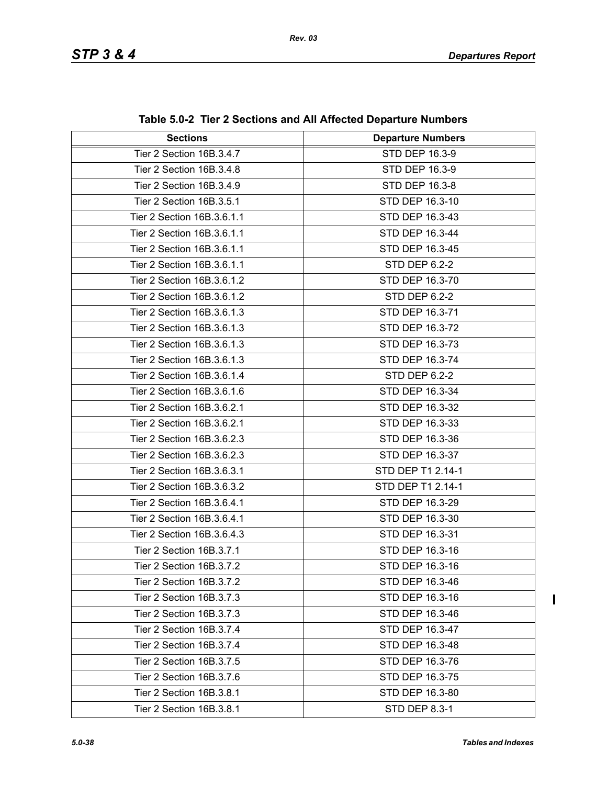| <b>Sections</b>            | <b>Departure Numbers</b> |
|----------------------------|--------------------------|
| Tier 2 Section 16B.3.4.7   | STD DEP 16.3-9           |
| Tier 2 Section 16B.3.4.8   | STD DEP 16.3-9           |
| Tier 2 Section 16B.3.4.9   | STD DEP 16.3-8           |
| Tier 2 Section 16B.3.5.1   | STD DEP 16.3-10          |
| Tier 2 Section 16B.3.6.1.1 | STD DEP 16.3-43          |
| Tier 2 Section 16B.3.6.1.1 | STD DEP 16.3-44          |
| Tier 2 Section 16B.3.6.1.1 | STD DEP 16.3-45          |
| Tier 2 Section 16B.3.6.1.1 | STD DEP 6.2-2            |
| Tier 2 Section 16B.3.6.1.2 | STD DEP 16.3-70          |
| Tier 2 Section 16B.3.6.1.2 | STD DEP 6.2-2            |
| Tier 2 Section 16B.3.6.1.3 | STD DEP 16.3-71          |
| Tier 2 Section 16B.3.6.1.3 | STD DEP 16.3-72          |
| Tier 2 Section 16B.3.6.1.3 | STD DEP 16.3-73          |
| Tier 2 Section 16B.3.6.1.3 | STD DEP 16.3-74          |
| Tier 2 Section 16B.3.6.1.4 | STD DEP 6.2-2            |
| Tier 2 Section 16B.3.6.1.6 | STD DEP 16.3-34          |
| Tier 2 Section 16B.3.6.2.1 | STD DEP 16.3-32          |
| Tier 2 Section 16B.3.6.2.1 | STD DEP 16.3-33          |
| Tier 2 Section 16B.3.6.2.3 | STD DEP 16.3-36          |
| Tier 2 Section 16B.3.6.2.3 | STD DEP 16.3-37          |
| Tier 2 Section 16B.3.6.3.1 | STD DEP T1 2.14-1        |
| Tier 2 Section 16B.3.6.3.2 | STD DEP T1 2.14-1        |
| Tier 2 Section 16B.3.6.4.1 | STD DEP 16.3-29          |
| Tier 2 Section 16B.3.6.4.1 | STD DEP 16.3-30          |
| Tier 2 Section 16B.3.6.4.3 | STD DEP 16.3-31          |
| Tier 2 Section 16B.3.7.1   | STD DEP 16.3-16          |
| Tier 2 Section 16B.3.7.2   | STD DEP 16.3-16          |
| Tier 2 Section 16B.3.7.2   | STD DEP 16.3-46          |
| Tier 2 Section 16B.3.7.3   | STD DEP 16.3-16          |
| Tier 2 Section 16B.3.7.3   | STD DEP 16.3-46          |
| Tier 2 Section 16B.3.7.4   | STD DEP 16.3-47          |
| Tier 2 Section 16B.3.7.4   | STD DEP 16.3-48          |
| Tier 2 Section 16B.3.7.5   | STD DEP 16.3-76          |
| Tier 2 Section 16B.3.7.6   | STD DEP 16.3-75          |
| Tier 2 Section 16B.3.8.1   | STD DEP 16.3-80          |
| Tier 2 Section 16B.3.8.1   | STD DEP 8.3-1            |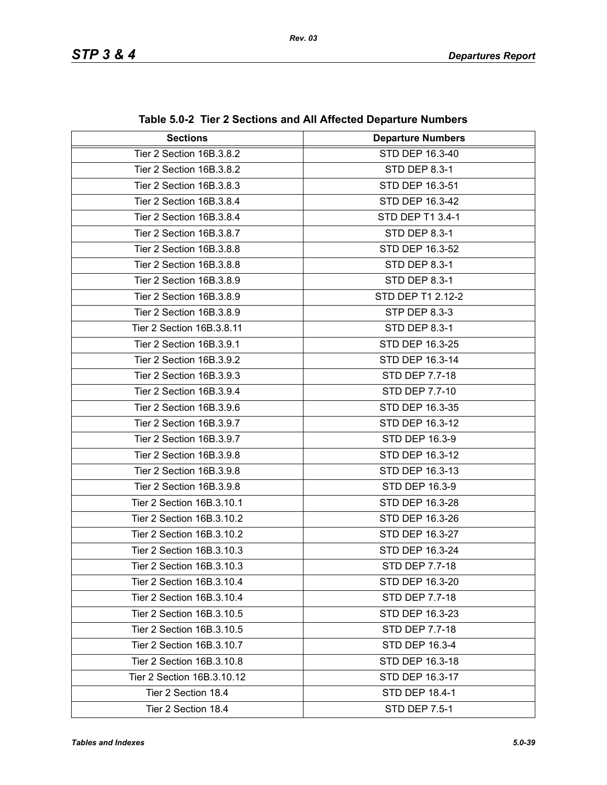| <b>Sections</b>            | <b>Departure Numbers</b> |
|----------------------------|--------------------------|
| Tier 2 Section 16B.3.8.2   | STD DEP 16.3-40          |
| Tier 2 Section 16B.3.8.2   | STD DEP 8.3-1            |
| Tier 2 Section 16B.3.8.3   | STD DEP 16.3-51          |
|                            |                          |
| Tier 2 Section 16B.3.8.4   | STD DEP 16.3-42          |
| Tier 2 Section 16B.3.8.4   | STD DEP T1 3.4-1         |
| Tier 2 Section 16B.3.8.7   | STD DEP 8.3-1            |
| Tier 2 Section 16B.3.8.8   | STD DEP 16.3-52          |
| Tier 2 Section 16B.3.8.8   | STD DEP 8.3-1            |
| Tier 2 Section 16B.3.8.9   | STD DEP 8.3-1            |
| Tier 2 Section 16B.3.8.9   | STD DEP T1 2.12-2        |
| Tier 2 Section 16B.3.8.9   | STP DEP 8.3-3            |
| Tier 2 Section 16B.3.8.11  | STD DEP 8.3-1            |
| Tier 2 Section 16B.3.9.1   | STD DEP 16.3-25          |
| Tier 2 Section 16B.3.9.2   | STD DEP 16.3-14          |
| Tier 2 Section 16B.3.9.3   | <b>STD DEP 7.7-18</b>    |
| Tier 2 Section 16B.3.9.4   | STD DEP 7.7-10           |
| Tier 2 Section 16B.3.9.6   | STD DEP 16.3-35          |
| Tier 2 Section 16B.3.9.7   | STD DEP 16.3-12          |
| Tier 2 Section 16B.3.9.7   | STD DEP 16.3-9           |
| Tier 2 Section 16B.3.9.8   | STD DEP 16.3-12          |
| Tier 2 Section 16B.3.9.8   | STD DEP 16.3-13          |
| Tier 2 Section 16B.3.9.8   | STD DEP 16.3-9           |
| Tier 2 Section 16B.3.10.1  | STD DEP 16.3-28          |
| Tier 2 Section 16B.3.10.2  | STD DEP 16.3-26          |
| Tier 2 Section 16B.3.10.2  | STD DEP 16.3-27          |
| Tier 2 Section 16B.3.10.3  | STD DEP 16.3-24          |
| Tier 2 Section 16B.3.10.3  | STD DEP 7.7-18           |
| Tier 2 Section 16B.3.10.4  | STD DEP 16.3-20          |
| Tier 2 Section 16B.3.10.4  | STD DEP 7.7-18           |
| Tier 2 Section 16B.3.10.5  | STD DEP 16.3-23          |
| Tier 2 Section 16B.3.10.5  | STD DEP 7.7-18           |
| Tier 2 Section 16B.3.10.7  | STD DEP 16.3-4           |
| Tier 2 Section 16B.3.10.8  | STD DEP 16.3-18          |
| Tier 2 Section 16B.3.10.12 | STD DEP 16.3-17          |
| Tier 2 Section 18.4        | <b>STD DEP 18.4-1</b>    |
| Tier 2 Section 18.4        | <b>STD DEP 7.5-1</b>     |

**Table 5.0-2 Tier 2 Sections and All Affected Departure Numbers**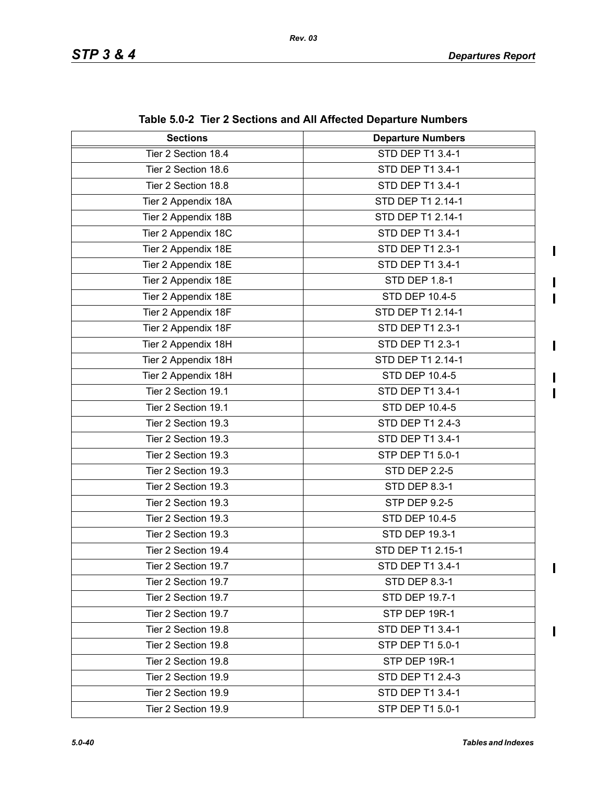$\mathbf I$ 

I  $\blacksquare$ 

 $\mathbf{I}$ 

 $\blacksquare$ 

 $\blacksquare$ 

| <b>Sections</b>     | <b>Departure Numbers</b> |
|---------------------|--------------------------|
| Tier 2 Section 18.4 | <b>STD DEP T1 3.4-1</b>  |
| Tier 2 Section 18.6 | STD DEP T1 3.4-1         |
| Tier 2 Section 18.8 | STD DEP T1 3.4-1         |
| Tier 2 Appendix 18A | STD DEP T1 2.14-1        |
| Tier 2 Appendix 18B | STD DEP T1 2.14-1        |
| Tier 2 Appendix 18C | STD DEP T1 3.4-1         |
| Tier 2 Appendix 18E | STD DEP T1 2.3-1         |
| Tier 2 Appendix 18E | STD DEP T1 3.4-1         |
| Tier 2 Appendix 18E | STD DEP 1.8-1            |
| Tier 2 Appendix 18E | STD DEP 10.4-5           |
| Tier 2 Appendix 18F | STD DEP T1 2.14-1        |
| Tier 2 Appendix 18F | STD DEP T1 2.3-1         |
| Tier 2 Appendix 18H | STD DEP T1 2.3-1         |
| Tier 2 Appendix 18H | STD DEP T1 2.14-1        |
| Tier 2 Appendix 18H | STD DEP 10.4-5           |
| Tier 2 Section 19.1 | STD DEP T1 3.4-1         |
| Tier 2 Section 19.1 | <b>STD DEP 10.4-5</b>    |
| Tier 2 Section 19.3 | STD DEP T1 2.4-3         |
| Tier 2 Section 19.3 | STD DEP T1 3.4-1         |
| Tier 2 Section 19.3 | STP DEP T1 5.0-1         |
| Tier 2 Section 19.3 | <b>STD DEP 2.2-5</b>     |
| Tier 2 Section 19.3 | <b>STD DEP 8.3-1</b>     |
| Tier 2 Section 19.3 | <b>STP DEP 9.2-5</b>     |
| Tier 2 Section 19.3 | <b>STD DEP 10.4-5</b>    |
| Tier 2 Section 19.3 | STD DEP 19.3-1           |
| Tier 2 Section 19.4 | STD DEP T1 2.15-1        |
| Tier 2 Section 19.7 | STD DEP T1 3.4-1         |
| Tier 2 Section 19.7 | STD DEP 8.3-1            |
| Tier 2 Section 19.7 | <b>STD DEP 19.7-1</b>    |
| Tier 2 Section 19.7 | STP DEP 19R-1            |
| Tier 2 Section 19.8 | STD DEP T1 3.4-1         |
| Tier 2 Section 19.8 | STP DEP T1 5.0-1         |
| Tier 2 Section 19.8 | STP DEP 19R-1            |
| Tier 2 Section 19.9 | <b>STD DEP T1 2.4-3</b>  |
| Tier 2 Section 19.9 | STD DEP T1 3.4-1         |
| Tier 2 Section 19.9 | STP DEP T1 5.0-1         |

**Table 5.0-2 Tier 2 Sections and All Affected Departure Numbers**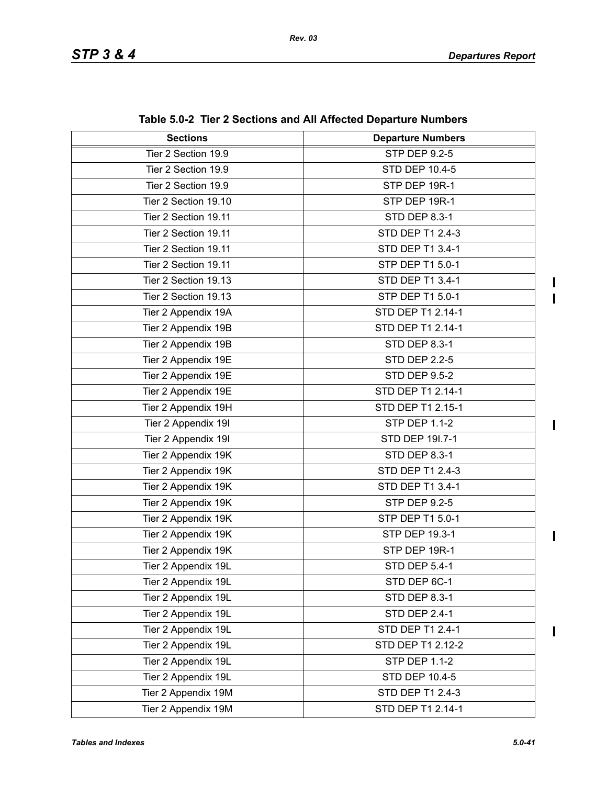$\begin{array}{c} \rule{0pt}{2.5ex} \rule{0pt}{2.5ex} \rule{0pt}{2.5ex} \rule{0pt}{2.5ex} \rule{0pt}{2.5ex} \rule{0pt}{2.5ex} \rule{0pt}{2.5ex} \rule{0pt}{2.5ex} \rule{0pt}{2.5ex} \rule{0pt}{2.5ex} \rule{0pt}{2.5ex} \rule{0pt}{2.5ex} \rule{0pt}{2.5ex} \rule{0pt}{2.5ex} \rule{0pt}{2.5ex} \rule{0pt}{2.5ex} \rule{0pt}{2.5ex} \rule{0pt}{2.5ex} \rule{0pt}{2.5ex} \rule{0$  $\overline{\phantom{a}}$ 

 $\begin{array}{c} \hline \end{array}$ 

 $\mathbf{I}$ 

 $\overline{\phantom{a}}$ 

| <b>Sections</b>      | <b>Departure Numbers</b> |
|----------------------|--------------------------|
| Tier 2 Section 19.9  | <b>STP DEP 9.2-5</b>     |
| Tier 2 Section 19.9  | STD DEP 10.4-5           |
| Tier 2 Section 19.9  | STP DEP 19R-1            |
| Tier 2 Section 19.10 | STP DEP 19R-1            |
| Tier 2 Section 19.11 | STD DEP 8.3-1            |
| Tier 2 Section 19.11 | STD DEP T1 2.4-3         |
| Tier 2 Section 19.11 | STD DEP T1 3.4-1         |
| Tier 2 Section 19.11 | STP DEP T1 5.0-1         |
| Tier 2 Section 19.13 | STD DEP T1 3.4-1         |
| Tier 2 Section 19.13 | STP DEP T1 5.0-1         |
| Tier 2 Appendix 19A  | STD DEP T1 2.14-1        |
| Tier 2 Appendix 19B  | STD DEP T1 2.14-1        |
| Tier 2 Appendix 19B  | STD DEP 8.3-1            |
| Tier 2 Appendix 19E  | <b>STD DEP 2.2-5</b>     |
| Tier 2 Appendix 19E  | <b>STD DEP 9.5-2</b>     |
| Tier 2 Appendix 19E  | STD DEP T1 2.14-1        |
| Tier 2 Appendix 19H  | STD DEP T1 2.15-1        |
| Tier 2 Appendix 19I  | <b>STP DEP 1.1-2</b>     |
| Tier 2 Appendix 19I  | STD DEP 191.7-1          |
| Tier 2 Appendix 19K  | STD DEP 8.3-1            |
| Tier 2 Appendix 19K  | STD DEP T1 2.4-3         |
| Tier 2 Appendix 19K  | STD DEP T1 3.4-1         |
| Tier 2 Appendix 19K  | <b>STP DEP 9.2-5</b>     |
| Tier 2 Appendix 19K  | STP DEP T1 5.0-1         |
| Tier 2 Appendix 19K  | STP DEP 19.3-1           |
| Tier 2 Appendix 19K  | STP DEP 19R-1            |
| Tier 2 Appendix 19L  | <b>STD DEP 5.4-1</b>     |
| Tier 2 Appendix 19L  | STD DEP 6C-1             |
| Tier 2 Appendix 19L  | STD DEP 8.3-1            |
| Tier 2 Appendix 19L  | <b>STD DEP 2.4-1</b>     |
| Tier 2 Appendix 19L  | STD DEP T1 2.4-1         |
| Tier 2 Appendix 19L  | STD DEP T1 2.12-2        |
| Tier 2 Appendix 19L  | <b>STP DEP 1.1-2</b>     |
| Tier 2 Appendix 19L  | STD DEP 10.4-5           |
| Tier 2 Appendix 19M  | STD DEP T1 2.4-3         |
| Tier 2 Appendix 19M  | STD DEP T1 2.14-1        |

**Table 5.0-2 Tier 2 Sections and All Affected Departure Numbers**